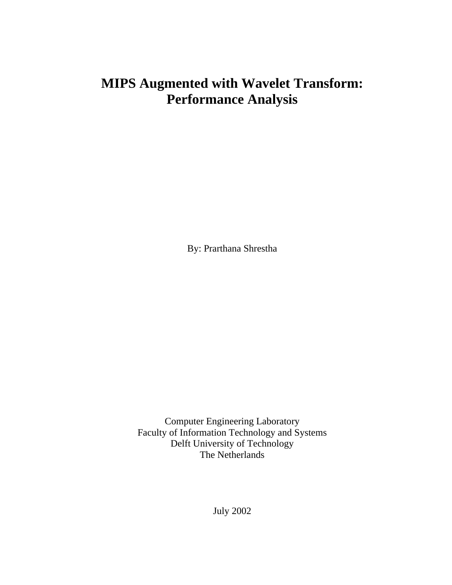# **MIPS Augmented with Wavelet Transform: Performance Analysis**

By: Prarthana Shrestha

Computer Engineering Laboratory Faculty of Information Technology and Systems Delft University of Technology The Netherlands

July 2002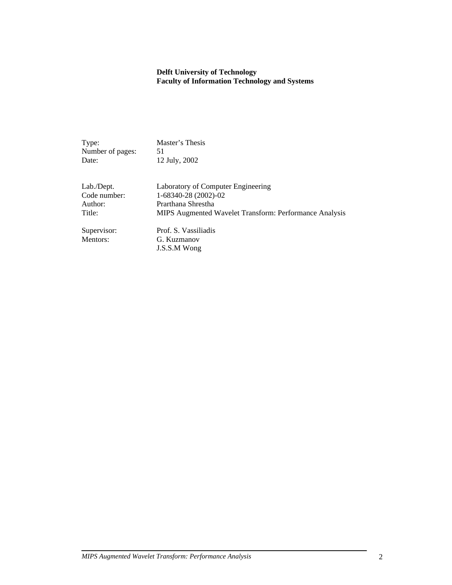#### **Delft University of Technology Faculty of Information Technology and Systems**

| Type:            | Master's Thesis                                        |
|------------------|--------------------------------------------------------|
| Number of pages: | 51                                                     |
| Date:            | 12 July, 2002                                          |
| Lab./Dept.       | Laboratory of Computer Engineering                     |
| Code number:     | 1-68340-28 (2002)-02                                   |
| Author:          | Prarthana Shrestha                                     |
| Title:           | MIPS Augmented Wavelet Transform: Performance Analysis |
| Supervisor:      | Prof. S. Vassiliadis                                   |
| Mentors:         | G. Kuzmanov                                            |
|                  | J.S.S.M Wong                                           |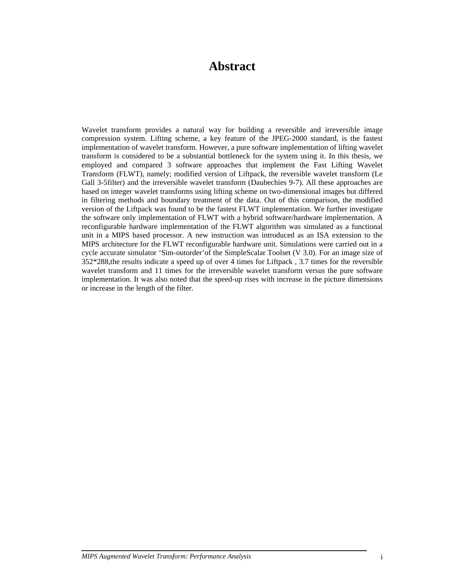## **Abstract**

Wavelet transform provides a natural way for building a reversible and irreversible image compression system. Lifting scheme, a key feature of the JPEG-2000 standard, is the fastest implementation of wavelet transform. However, a pure software implementation of lifting wavelet transform is considered to be a substantial bottleneck for the system using it. In this thesis, we employed and compared 3 software approaches that implement the Fast Lifting Wavelet Transform (FLWT), namely; modified version of Liftpack, the reversible wavelet transform (Le Gall 3-5filter) and the irreversible wavelet transform (Daubechies 9-7). All these approaches are based on integer wavelet transforms using lifting scheme on two-dimensional images but differed in filtering methods and boundary treatment of the data. Out of this comparison, the modified version of the Liftpack was found to be the fastest FLWT implementation. We further investigate the software only implementation of FLWT with a hybrid software/hardware implementation. A reconfigurable hardware implementation of the FLWT algorithm was simulated as a functional unit in a MIPS based processor. A new instruction was introduced as an ISA extension to the MIPS architecture for the FLWT reconfigurable hardware unit. Simulations were carried out in a cycle accurate simulator 'Sim-outorder'of the SimpleScalar Toolset (V 3.0). For an image size of 352\*288,the results indicate a speed up of over 4 times for Liftpack , 3.7 times for the reversible wavelet transform and 11 times for the irreversible wavelet transform versus the pure software implementation. It was also noted that the speed-up rises with increase in the picture dimensions or increase in the length of the filter.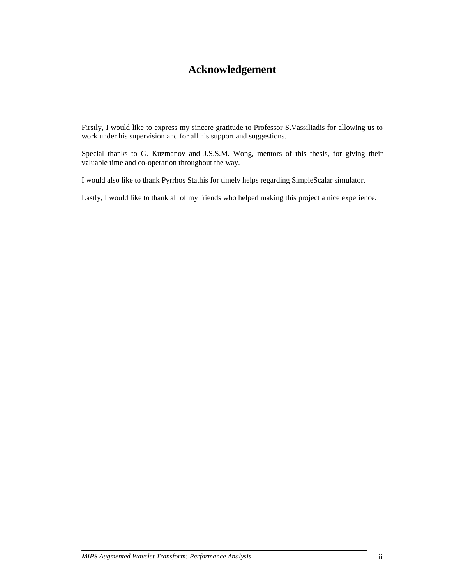## **Acknowledgement**

Firstly, I would like to express my sincere gratitude to Professor S.Vassiliadis for allowing us to work under his supervision and for all his support and suggestions.

Special thanks to G. Kuzmanov and J.S.S.M. Wong, mentors of this thesis, for giving their valuable time and co-operation throughout the way.

I would also like to thank Pyrrhos Stathis for timely helps regarding SimpleScalar simulator.

Lastly, I would like to thank all of my friends who helped making this project a nice experience.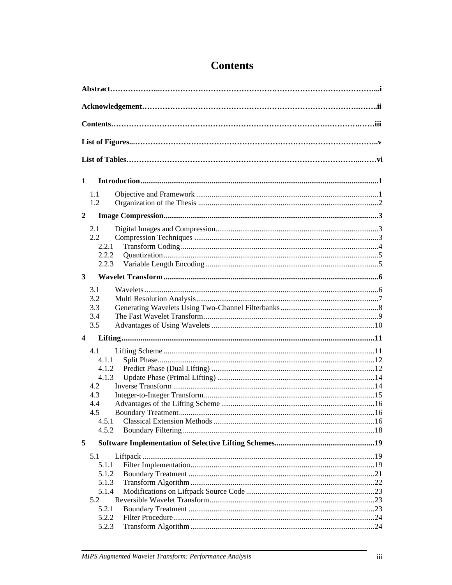| 1                |              |  |
|------------------|--------------|--|
|                  |              |  |
|                  | 1.1          |  |
|                  | 1.2          |  |
| $\boldsymbol{2}$ |              |  |
|                  | 2.1          |  |
|                  | 2.2          |  |
|                  | 2.2.1        |  |
|                  | 2.2.2        |  |
|                  | 2.2.3        |  |
| 3                |              |  |
|                  | 3.1          |  |
|                  | 3.2          |  |
|                  | 3.3          |  |
|                  | 3.4          |  |
|                  | 3.5          |  |
| 4                |              |  |
|                  |              |  |
|                  | 4.1<br>4.1.1 |  |
|                  | 4.1.2        |  |
|                  | 4.1.3        |  |
|                  | 4.2          |  |
|                  | 4.3          |  |
|                  | 4.4          |  |
|                  | 4.5          |  |
|                  | 4.5.1        |  |
|                  | 4.5.2        |  |
| 5                |              |  |
|                  | 5.1          |  |
|                  | 5.1.1        |  |
|                  | 5.1.2        |  |
|                  | 5.1.3        |  |
|                  | 5.1.4        |  |
|                  | 5.2          |  |
|                  | 5.2.1        |  |
|                  | 5.2.2        |  |
|                  | 5.2.3        |  |

# **Contents**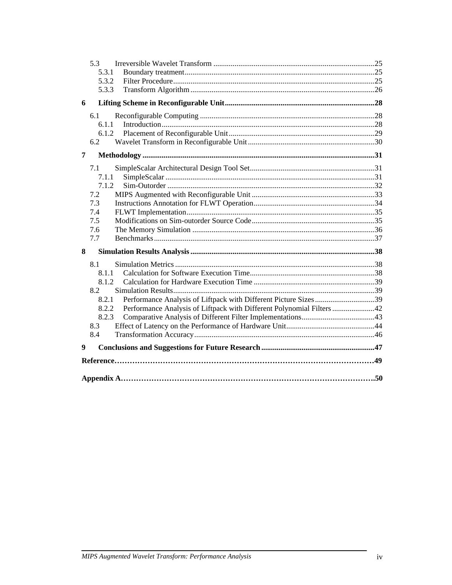| 5.3                                                                            |  |
|--------------------------------------------------------------------------------|--|
| 5.3.1<br>5.3.2                                                                 |  |
| 5.3.3                                                                          |  |
|                                                                                |  |
| 6                                                                              |  |
| 6.1                                                                            |  |
| 6.1.1                                                                          |  |
| 6.1.2                                                                          |  |
| 6.2                                                                            |  |
| 7                                                                              |  |
| 7.1                                                                            |  |
| 7.1.1                                                                          |  |
| 7.1.2                                                                          |  |
| 7.2                                                                            |  |
| 7.3                                                                            |  |
| 7.4                                                                            |  |
| 7.5                                                                            |  |
| 7.6                                                                            |  |
| 7.7                                                                            |  |
| 8                                                                              |  |
| 8.1                                                                            |  |
| 8.1.1                                                                          |  |
| 8.1.2                                                                          |  |
| 8.2                                                                            |  |
| Performance Analysis of Liftpack with Different Picture Sizes39<br>8.2.1       |  |
| Performance Analysis of Liftpack with Different Polynomial Filters 42<br>8.2.2 |  |
| 8.2.3                                                                          |  |
| 8.3<br>8.4                                                                     |  |
|                                                                                |  |
| 9                                                                              |  |
|                                                                                |  |
|                                                                                |  |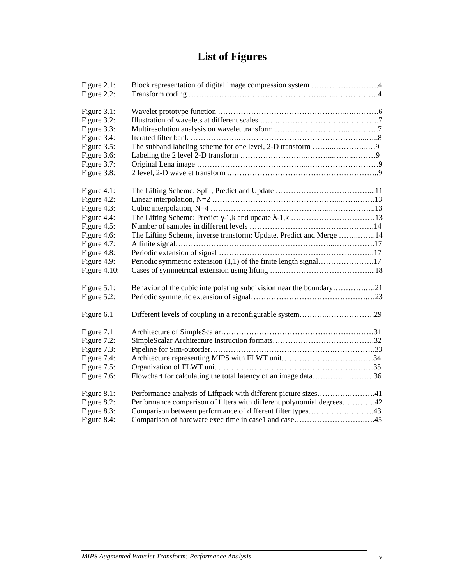# **List of Figures**

| Figure 2.1:  | Block representation of digital image compression system 4            |
|--------------|-----------------------------------------------------------------------|
| Figure 2.2:  |                                                                       |
|              |                                                                       |
| Figure 3.1:  |                                                                       |
| Figure 3.2:  |                                                                       |
| Figure 3.3:  |                                                                       |
| Figure 3.4:  |                                                                       |
| Figure 3.5:  |                                                                       |
| Figure 3.6:  |                                                                       |
| Figure 3.7:  |                                                                       |
| Figure 3.8:  |                                                                       |
|              |                                                                       |
| Figure 4.1:  |                                                                       |
| Figure 4.2:  |                                                                       |
| Figure 4.3:  |                                                                       |
| Figure 4.4:  |                                                                       |
| Figure 4.5:  |                                                                       |
| Figure 4.6:  | The Lifting Scheme, inverse transform: Update, Predict and Merge 14   |
| Figure 4.7:  |                                                                       |
| Figure 4.8:  |                                                                       |
| Figure 4.9:  | Periodic symmetric extension (1,1) of the finite length signal17      |
| Figure 4.10: |                                                                       |
|              |                                                                       |
| Figure 5.1:  | Behavior of the cubic interpolating subdivision near the boundary21   |
| Figure 5.2:  |                                                                       |
|              |                                                                       |
| Figure 6.1   | Different levels of coupling in a reconfigurable system29             |
|              |                                                                       |
| Figure 7.1   |                                                                       |
| Figure 7.2:  |                                                                       |
| Figure 7.3:  |                                                                       |
| Figure 7.4:  |                                                                       |
| Figure 7.5:  |                                                                       |
| Figure 7.6:  | Flowchart for calculating the total latency of an image data36        |
|              |                                                                       |
| Figure 8.1:  | Performance analysis of Liftpack with different picture sizes41       |
| Figure 8.2:  | Performance comparison of filters with different polynomial degrees42 |
| Figure 8.3:  | Comparison between performance of different filter types43            |
| Figure 8.4:  |                                                                       |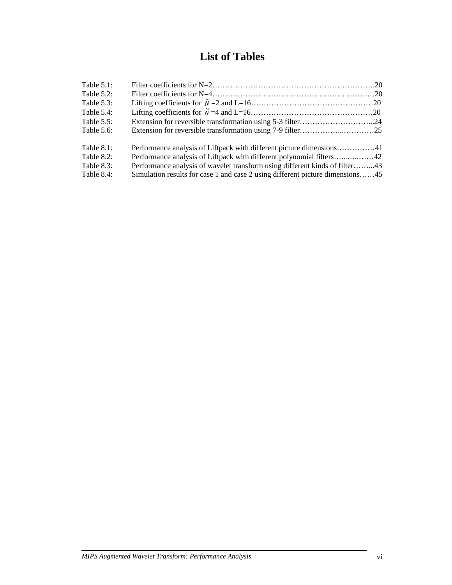# **List of Tables**

| Table $5.1$ : |                                                                               |  |
|---------------|-------------------------------------------------------------------------------|--|
| Table $5.2$ : |                                                                               |  |
| Table $5.3$ : |                                                                               |  |
| Table $5.4$ : |                                                                               |  |
| Table $5.5$ : |                                                                               |  |
| Table 5.6:    |                                                                               |  |
| Table $8.1$ : |                                                                               |  |
| Table 8.2:    |                                                                               |  |
| Table 8.3:    | Performance analysis of wavelet transform using different kinds of filter43   |  |
| Table 8.4:    | Simulation results for case 1 and case 2 using different picture dimensions45 |  |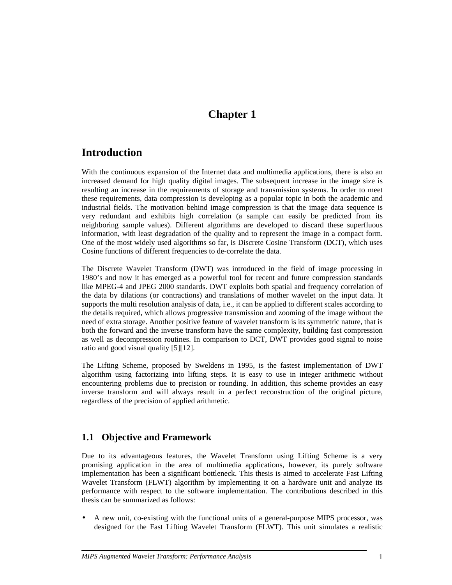## **Chapter 1**

## **Introduction**

With the continuous expansion of the Internet data and multimedia applications, there is also an increased demand for high quality digital images. The subsequent increase in the image size is resulting an increase in the requirements of storage and transmission systems. In order to meet these requirements, data compression is developing as a popular topic in both the academic and industrial fields. The motivation behind image compression is that the image data sequence is very redundant and exhibits high correlation (a sample can easily be predicted from its neighboring sample values). Different algorithms are developed to discard these superfluous information, with least degradation of the quality and to represent the image in a compact form. One of the most widely used algorithms so far, is Discrete Cosine Transform (DCT), which uses Cosine functions of different frequencies to de-correlate the data.

The Discrete Wavelet Transform (DWT) was introduced in the field of image processing in 1980's and now it has emerged as a powerful tool for recent and future compression standards like MPEG-4 and JPEG 2000 standards. DWT exploits both spatial and frequency correlation of the data by dilations (or contractions) and translations of mother wavelet on the input data. It supports the multi resolution analysis of data, i.e., it can be applied to different scales according to the details required, which allows progressive transmission and zooming of the image without the need of extra storage. Another positive feature of wavelet transform is its symmetric nature, that is both the forward and the inverse transform have the same complexity, building fast compression as well as decompression routines. In comparison to DCT, DWT provides good signal to noise ratio and good visual quality [5][12].

The Lifting Scheme, proposed by Sweldens in 1995, is the fastest implementation of DWT algorithm using factorizing into lifting steps. It is easy to use in integer arithmetic without encountering problems due to precision or rounding. In addition, this scheme provides an easy inverse transform and will always result in a perfect reconstruction of the original picture, regardless of the precision of applied arithmetic.

## **1.1 Objective and Framework**

Due to its advantageous features, the Wavelet Transform using Lifting Scheme is a very promising application in the area of multimedia applications, however, its purely software implementation has been a significant bottleneck. This thesis is aimed to accelerate Fast Lifting Wavelet Transform (FLWT) algorithm by implementing it on a hardware unit and analyze its performance with respect to the software implementation. The contributions described in this thesis can be summarized as follows:

• A new unit, co-existing with the functional units of a general-purpose MIPS processor, was designed for the Fast Lifting Wavelet Transform (FLWT). This unit simulates a realistic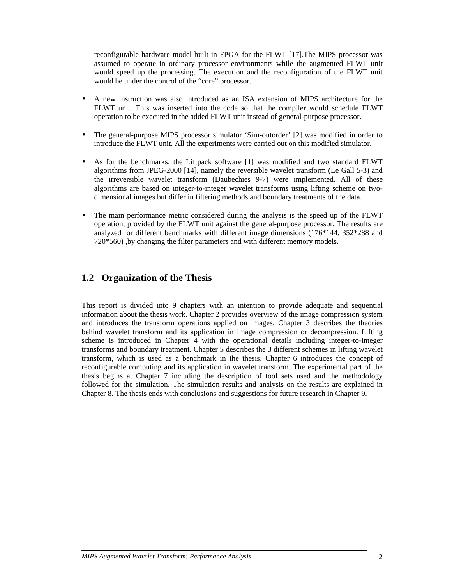reconfigurable hardware model built in FPGA for the FLWT [17].The MIPS processor was assumed to operate in ordinary processor environments while the augmented FLWT unit would speed up the processing. The execution and the reconfiguration of the FLWT unit would be under the control of the "core" processor.

- A new instruction was also introduced as an ISA extension of MIPS architecture for the FLWT unit. This was inserted into the code so that the compiler would schedule FLWT operation to be executed in the added FLWT unit instead of general-purpose processor.
- The general-purpose MIPS processor simulator 'Sim-outorder' [2] was modified in order to introduce the FLWT unit. All the experiments were carried out on this modified simulator.
- As for the benchmarks, the Liftpack software [1] was modified and two standard FLWT algorithms from JPEG-2000 [14], namely the reversible wavelet transform (Le Gall 5-3) and the irreversible wavelet transform (Daubechies 9-7) were implemented. All of these algorithms are based on integer-to-integer wavelet transforms using lifting scheme on twodimensional images but differ in filtering methods and boundary treatments of the data.
- The main performance metric considered during the analysis is the speed up of the FLWT operation, provided by the FLWT unit against the general-purpose processor. The results are analyzed for different benchmarks with different image dimensions (176\*144, 352\*288 and 720\*560) ,by changing the filter parameters and with different memory models.

## **1.2 Organization of the Thesis**

This report is divided into 9 chapters with an intention to provide adequate and sequential information about the thesis work. Chapter 2 provides overview of the image compression system and introduces the transform operations applied on images. Chapter 3 describes the theories behind wavelet transform and its application in image compression or decompression. Lifting scheme is introduced in Chapter 4 with the operational details including integer-to-integer transforms and boundary treatment. Chapter 5 describes the 3 different schemes in lifting wavelet transform, which is used as a benchmark in the thesis. Chapter 6 introduces the concept of reconfigurable computing and its application in wavelet transform. The experimental part of the thesis begins at Chapter 7 including the description of tool sets used and the methodology followed for the simulation. The simulation results and analysis on the results are explained in Chapter 8. The thesis ends with conclusions and suggestions for future research in Chapter 9.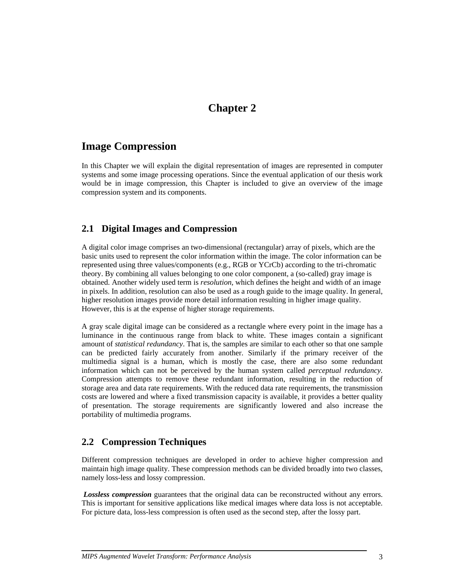## **Chapter 2**

## **Image Compression**

In this Chapter we will explain the digital representation of images are represented in computer systems and some image processing operations. Since the eventual application of our thesis work would be in image compression, this Chapter is included to give an overview of the image compression system and its components.

## **2.1 Digital Images and Compression**

A digital color image comprises an two-dimensional (rectangular) array of pixels, which are the basic units used to represent the color information within the image. The color information can be represented using three values/components (e.g., RGB or YCrCb) according to the tri-chromatic theory. By combining all values belonging to one color component, a (so-called) gray image is obtained. Another widely used term is *resolution,* which defines the height and width of an image in pixels. In addition, resolution can also be used as a rough guide to the image quality. In general, higher resolution images provide more detail information resulting in higher image quality. However, this is at the expense of higher storage requirements.

A gray scale digital image can be considered as a rectangle where every point in the image has a luminance in the continuous range from black to white. These images contain a significant amount of *statistical redundancy*. That is, the samples are similar to each other so that one sample can be predicted fairly accurately from another. Similarly if the primary receiver of the multimedia signal is a human, which is mostly the case, there are also some redundant information which can not be perceived by the human system called *perceptual redundancy.*  Compression attempts to remove these redundant information, resulting in the reduction of storage area and data rate requirements. With the reduced data rate requirements, the transmission costs are lowered and where a fixed transmission capacity is available, it provides a better quality of presentation. The storage requirements are significantly lowered and also increase the portability of multimedia programs.

## **2.2 Compression Techniques**

Different compression techniques are developed in order to achieve higher compression and maintain high image quality. These compression methods can be divided broadly into two classes, namely loss-less and lossy compression.

*Lossless compression* guarantees that the original data can be reconstructed without any errors. This is important for sensitive applications like medical images where data loss is not acceptable. For picture data, loss-less compression is often used as the second step, after the lossy part.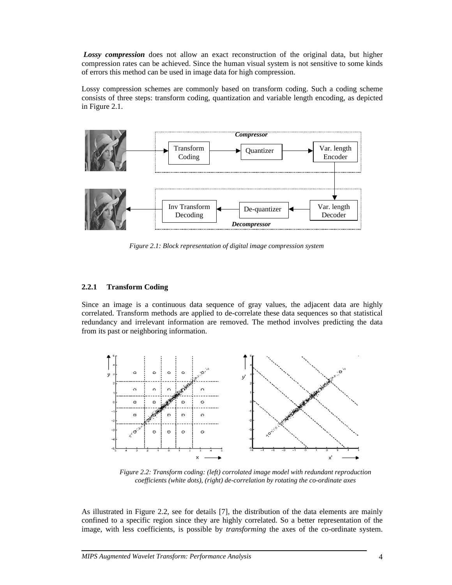*Lossy compression* does not allow an exact reconstruction of the original data, but higher compression rates can be achieved. Since the human visual system is not sensitive to some kinds of errors this method can be used in image data for high compression.

Lossy compression schemes are commonly based on transform coding. Such a coding scheme consists of three steps: transform coding, quantization and variable length encoding, as depicted in Figure 2.1.



*Figure 2.1: Block representation of digital image compression system* 

#### **2.2.1 Transform Coding**

Since an image is a continuous data sequence of gray values, the adjacent data are highly correlated. Transform methods are applied to de-correlate these data sequences so that statistical redundancy and irrelevant information are removed. The method involves predicting the data from its past or neighboring information.



*Figure 2.2: Transform coding: (left) corrolated image model with redundant reproduction coefficients (white dots), (right) de-correlation by rotating the co-ordinate axes* 

As illustrated in Figure 2.2, see for details [7], the distribution of the data elements are mainly confined to a specific region since they are highly correlated. So a better representation of the image, with less coefficients, is possible by *transforming* the axes of the co-ordinate system.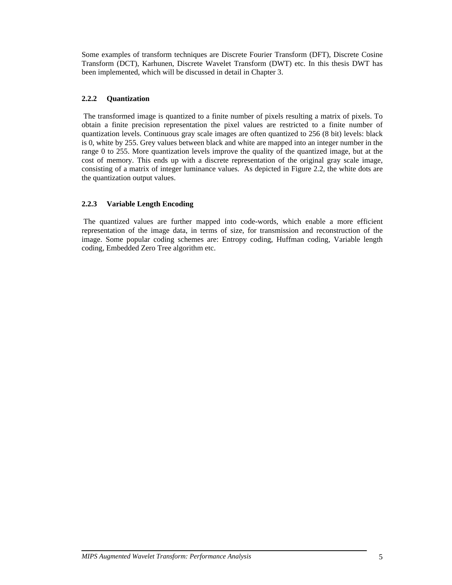Some examples of transform techniques are Discrete Fourier Transform (DFT), Discrete Cosine Transform (DCT), Karhunen, Discrete Wavelet Transform (DWT) etc. In this thesis DWT has been implemented, which will be discussed in detail in Chapter 3.

#### **2.2.2 Quantization**

The transformed image is quantized to a finite number of pixels resulting a matrix of pixels. To obtain a finite precision representation the pixel values are restricted to a finite number of quantization levels. Continuous gray scale images are often quantized to 256 (8 bit) levels: black is 0, white by 255. Grey values between black and white are mapped into an integer number in the range 0 to 255. More quantization levels improve the quality of the quantized image, but at the cost of memory. This ends up with a discrete representation of the original gray scale image, consisting of a matrix of integer luminance values. As depicted in Figure 2.2, the white dots are the quantization output values.

### **2.2.3 Variable Length Encoding**

The quantized values are further mapped into code-words, which enable a more efficient representation of the image data, in terms of size, for transmission and reconstruction of the image. Some popular coding schemes are: Entropy coding, Huffman coding, Variable length coding, Embedded Zero Tree algorithm etc.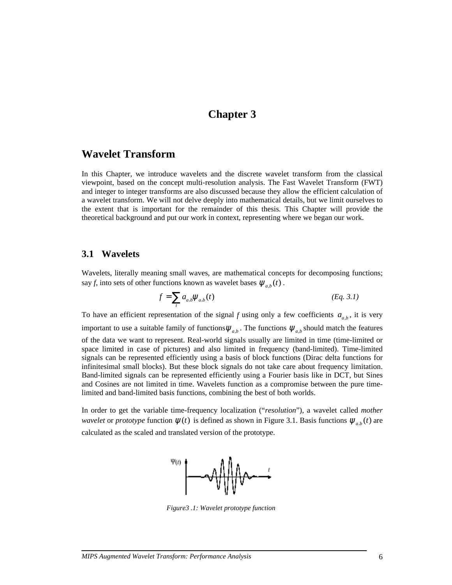## **Chapter 3**

### **Wavelet Transform**

In this Chapter, we introduce wavelets and the discrete wavelet transform from the classical viewpoint, based on the concept multi-resolution analysis. The Fast Wavelet Transform (FWT) and integer to integer transforms are also discussed because they allow the efficient calculation of a wavelet transform. We will not delve deeply into mathematical details, but we limit ourselves to the extent that is important for the remainder of this thesis. This Chapter will provide the theoretical background and put our work in context, representing where we began our work.

### **3.1 Wavelets**

Wavelets, literally meaning small waves, are mathematical concepts for decomposing functions; say *f*, into sets of other functions known as wavelet bases  $\psi_{a,b}(t)$ .

$$
f = \sum_{t} a_{a,b} \Psi_{a,b}(t) \tag{Eq. 3.1}
$$

To have an efficient representation of the signal *f* using only a few coefficients  $a_{ab}$ , it is very important to use a suitable family of functions  $\psi_{a,b}$ . The functions  $\psi_{a,b}$  should match the features of the data we want to represent. Real-world signals usually are limited in time (time-limited or space limited in case of pictures) and also limited in frequency (band-limited). Time-limited signals can be represented efficiently using a basis of block functions (Dirac delta functions for infinitesimal small blocks). But these block signals do not take care about frequency limitation. Band-limited signals can be represented efficiently using a Fourier basis like in DCT, but Sines and Cosines are not limited in time. Wavelets function as a compromise between the pure timelimited and band-limited basis functions, combining the best of both worlds.

In order to get the variable time-frequency localization ("*resolution*"), a wavelet called *mother wavelet* or *prototype* function  $\psi(t)$  is defined as shown in Figure 3.1. Basis functions  $\psi_{a,b}(t)$  are calculated as the scaled and translated version of the prototype.



*Figure3 .1: Wavelet prototype function*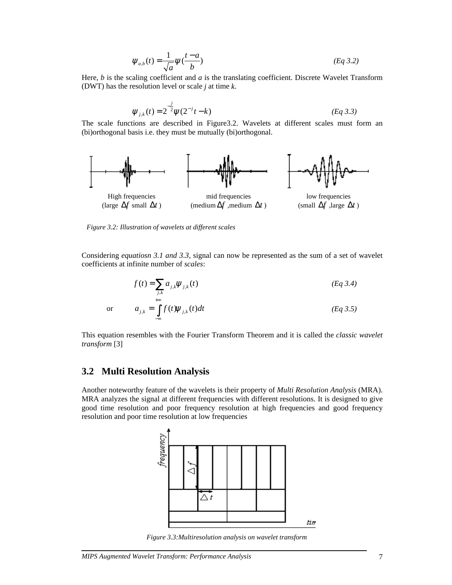$$
\Psi_{a,b}(t) = \frac{1}{\sqrt{a}} \Psi(\frac{t-a}{b})
$$
\n(Eq 3.2)

Here, *b* is the scaling coefficient and *a* is the translating coefficient. Discrete Wavelet Transform (DWT) has the resolution level or scale *j* at time *k*.

$$
\psi_{j,k}(t) = 2^{-j} \psi(2^{-j}t - k)
$$
 (Eq 3.3)

The scale functions are described in Figure3.2. Wavelets at different scales must form an (bi)orthogonal basis i.e. they must be mutually (bi)orthogonal.



*Figure 3.2: Illustration of wavelets at different scales* 

Considering *equatiosn 3.1 and 3.3,* signal can now be represented as the sum of a set of wavelet coefficients at infinite number of *scales*:

$$
f(t) = \sum_{j,k} a_{j,k} \psi_{j,k}(t)
$$
\n
$$
a_{j,k} = \int_{-\infty}^{+\infty} f(t) \psi_{j,k}(t) dt
$$
\n(Eq 3.4)\n  
\n(Eq 3.5)

This equation resembles with the Fourier Transform Theorem and it is called the *classic wavelet transform* [3]

### **3.2 Multi Resolution Analysis**

Another noteworthy feature of the wavelets is their property of *Multi Resolution Analysis* (MRA). MRA analyzes the signal at different frequencies with different resolutions. It is designed to give good time resolution and poor frequency resolution at high frequencies and good frequency resolution and poor time resolution at low frequencies



*Figure 3.3:Multiresolution analysis on wavelet transform*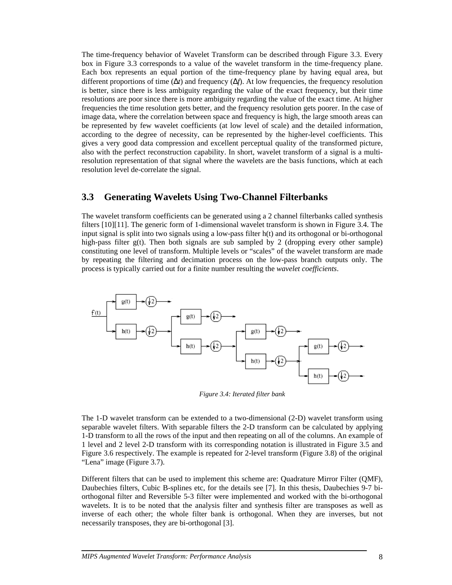The time-frequency behavior of Wavelet Transform can be described through Figure 3.3. Every box in Figure 3.3 corresponds to a value of the wavelet transform in the time-frequency plane. Each box represents an equal portion of the time-frequency plane by having equal area, but different proportions of time (∆*t*) and frequency (∆*f*). At low frequencies, the frequency resolution is better, since there is less ambiguity regarding the value of the exact frequency, but their time resolutions are poor since there is more ambiguity regarding the value of the exact time. At higher frequencies the time resolution gets better, and the frequency resolution gets poorer. In the case of image data, where the correlation between space and frequency is high, the large smooth areas can be represented by few wavelet coefficients (at low level of scale) and the detailed information, according to the degree of necessity, can be represented by the higher-level coefficients. This gives a very good data compression and excellent perceptual quality of the transformed picture, also with the perfect reconstruction capability. In short, wavelet transform of a signal is a multiresolution representation of that signal where the wavelets are the basis functions, which at each resolution level de-correlate the signal.

### **3.3 Generating Wavelets Using Two-Channel Filterbanks**

The wavelet transform coefficients can be generated using a 2 channel filterbanks called synthesis filters [10][11]. The generic form of 1-dimensional wavelet transform is shown in Figure 3.4. The input signal is split into two signals using a low-pass filter h(t) and its orthogonal or bi-orthogonal high-pass filter  $g(t)$ . Then both signals are sub sampled by 2 (dropping every other sample) constituting one level of transform. Multiple levels or "scales" of the wavelet transform are made by repeating the filtering and decimation process on the low-pass branch outputs only. The process is typically carried out for a finite number resulting the *wavelet coefficients*.



*Figure 3.4: Iterated filter bank* 

The 1-D wavelet transform can be extended to a two-dimensional (2-D) wavelet transform using separable wavelet filters. With separable filters the 2-D transform can be calculated by applying 1-D transform to all the rows of the input and then repeating on all of the columns. An example of 1 level and 2 level 2-D transform with its corresponding notation is illustrated in Figure 3.5 and Figure 3.6 respectively. The example is repeated for 2-level transform (Figure 3.8) of the original "Lena" image (Figure 3.7).

Different filters that can be used to implement this scheme are: Quadrature Mirror Filter (QMF), Daubechies filters, Cubic B-splines etc, for the details see [7]. In this thesis, Daubechies 9-7 biorthogonal filter and Reversible 5-3 filter were implemented and worked with the bi-orthogonal wavelets. It is to be noted that the analysis filter and synthesis filter are transposes as well as inverse of each other; the whole filter bank is orthogonal. When they are inverses, but not necessarily transposes, they are bi-orthogonal [3].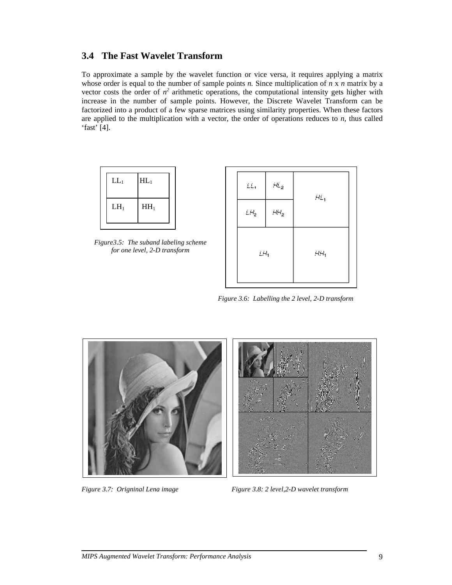## **3.4 The Fast Wavelet Transform**

To approximate a sample by the wavelet function or vice versa, it requires applying a matrix whose order is equal to the number of sample points *n.* Since multiplication of *n* x *n* matrix by a vector costs the order of  $n^2$  arithmetic operations, the computational intensity gets higher with increase in the number of sample points. However, the Discrete Wavelet Transform can be factorized into a product of a few sparse matrices using similarity properties. When these factors are applied to the multiplication with a vector, the order of operations reduces to *n,* thus called 'fast' [4].



*Figure3.5: The suband labeling scheme for one level, 2-D transform* 



*Figure 3.6: Labelling the 2 level, 2-D transform* 



*Figure 3.7: Origninal Lena image* Figure 3.8: 2 level, 2-D wavelet transform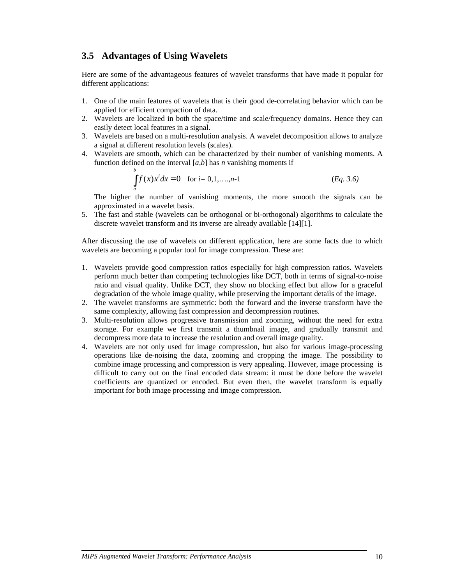## **3.5 Advantages of Using Wavelets**

Here are some of the advantageous features of wavelet transforms that have made it popular for different applications:

- 1. One of the main features of wavelets that is their good de-correlating behavior which can be applied for efficient compaction of data.
- 2. Wavelets are localized in both the space/time and scale/frequency domains. Hence they can easily detect local features in a signal.
- 3. Wavelets are based on a multi-resolution analysis. A wavelet decomposition allows to analyze a signal at different resolution levels (scales).
- 4. Wavelets are smooth, which can be characterized by their number of vanishing moments. A function defined on the interval [*a,b*] has *n* vanishing moments if

$$
\int_{a}^{b} f(x)x^{i} dx = 0 \text{ for } i = 0, 1, ..., n-1
$$
 (Eq. 3.6)

The higher the number of vanishing moments, the more smooth the signals can be approximated in a wavelet basis.

5. The fast and stable (wavelets can be orthogonal or bi-orthogonal) algorithms to calculate the discrete wavelet transform and its inverse are already available [14][1].

After discussing the use of wavelets on different application, here are some facts due to which wavelets are becoming a popular tool for image compression. These are:

- 1. Wavelets provide good compression ratios especially for high compression ratios. Wavelets perform much better than competing technologies like DCT, both in terms of signal-to-noise ratio and visual quality. Unlike DCT, they show no blocking effect but allow for a graceful degradation of the whole image quality, while preserving the important details of the image.
- 2. The wavelet transforms are symmetric: both the forward and the inverse transform have the same complexity, allowing fast compression and decompression routines.
- 3. Multi-resolution allows progressive transmission and zooming, without the need for extra storage. For example we first transmit a thumbnail image, and gradually transmit and decompress more data to increase the resolution and overall image quality.
- 4. Wavelets are not only used for image compression, but also for various image-processing operations like de-noising the data, zooming and cropping the image. The possibility to combine image processing and compression is very appealing. However, image processing is difficult to carry out on the final encoded data stream: it must be done before the wavelet coefficients are quantized or encoded. But even then, the wavelet transform is equally important for both image processing and image compression.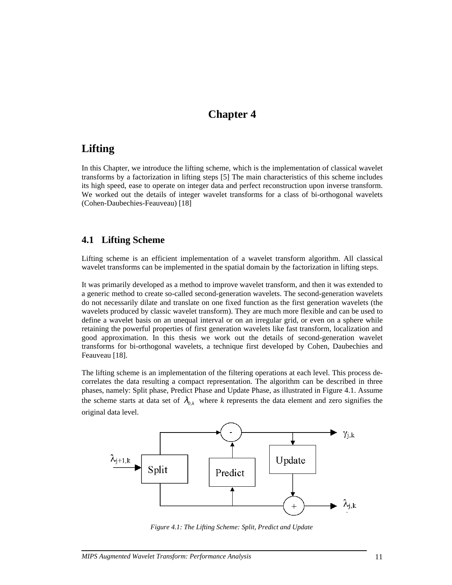## **Chapter 4**

## **Lifting**

In this Chapter, we introduce the lifting scheme, which is the implementation of classical wavelet transforms by a factorization in lifting steps [5] The main characteristics of this scheme includes its high speed, ease to operate on integer data and perfect reconstruction upon inverse transform. We worked out the details of integer wavelet transforms for a class of bi-orthogonal wavelets (Cohen-Daubechies-Feauveau) [18]

### **4.1 Lifting Scheme**

Lifting scheme is an efficient implementation of a wavelet transform algorithm. All classical wavelet transforms can be implemented in the spatial domain by the factorization in lifting steps.

It was primarily developed as a method to improve wavelet transform, and then it was extended to a generic method to create so-called second-generation wavelets. The second-generation wavelets do not necessarily dilate and translate on one fixed function as the first generation wavelets (the wavelets produced by classic wavelet transform). They are much more flexible and can be used to define a wavelet basis on an unequal interval or on an irregular grid, or even on a sphere while retaining the powerful properties of first generation wavelets like fast transform, localization and good approximation. In this thesis we work out the details of second-generation wavelet transforms for bi-orthogonal wavelets, a technique first developed by Cohen, Daubechies and Feauveau [18].

The lifting scheme is an implementation of the filtering operations at each level. This process decorrelates the data resulting a compact representation. The algorithm can be described in three phases, namely: Split phase, Predict Phase and Update Phase, as illustrated in Figure 4.1. Assume the scheme starts at data set of  $\lambda_{0,k}$  where k represents the data element and zero signifies the original data level.



*Figure 4.1: The Lifting Scheme: Split, Predict and Update*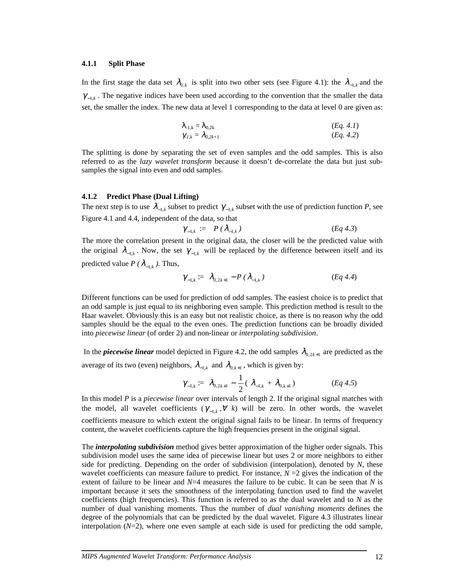#### **4.1.1 Split Phase**

In the first stage the data set  $\lambda_{0,k}$  is split into two other sets (see Figure 4.1): the  $\lambda_{-1,k}$  and the  $\gamma_{-1,k}$ . The negative indices have been used according to the convention that the smaller the data set, the smaller the index. The new data at level 1 corresponding to the data at level 0 are given as:

$$
\begin{aligned}\n\lambda_{1,k} &= \lambda_{0,2k} \\
\gamma_{1,k} &= \lambda_{0,2k+1} \\
\end{aligned}\n\tag{Eq. 4.1}
$$

The splitting is done by separating the set of even samples and the odd samples. This is also referred to as the *lazy wavelet transform* because it doesn't de-correlate the data but just subsamples the signal into even and odd samples.

#### **4.1.2 Predict Phase (Dual Lifting)**

The next step is to use  $\lambda_{-1,k}$  subset to predict  $\gamma_{-1,k}$  subset with the use of prediction function *P*, see Figure 4.1 and 4.4, independent of the data, so that

$$
\gamma_{-1,k} := P(\lambda_{-1,k}) \qquad (Eq 4.3)
$$

The more the correlation present in the original data, the closer will be the predicted value with the original  $\lambda_{-1,k}$ . Now, the set  $\gamma_{-1,k}$  will be replaced by the difference between itself and its predicted value *P* ( $\lambda_{-1,k}$ ). Thus,

$$
\gamma_{-1,k} := \lambda_{0,2k+1} - P(\lambda_{-1,k}) \tag{Eq 4.4}
$$

Different functions can be used for prediction of odd samples. The easiest choice is to predict that an odd sample is just equal to its neighboring even sample. This prediction method is result to the Haar wavelet. Obviously this is an easy but not realistic choice, as there is no reason why the odd samples should be the equal to the even ones. The prediction functions can be broadly divided into *piecewise linear* (of order 2) and non-linear or *interpolating subdivision*.

In the *piecewise linear* model depicted in Figure 4.2, the odd samples  $\lambda_{0,2k+1}$  are predicted as the average of its two (even) neighbors,  $\lambda_{-1,k}$  and  $\lambda_{0,k+1}$ , which is given by:

$$
\gamma_{-1,k} := \lambda_{0,2k+1} - \frac{1}{2} (\lambda_{-1,k} + \lambda_{0,k+1})
$$
 (Eq 4.5)

In this model *P* is a *piecewise linear* over intervals of length 2. If the original signal matches with the model, all wavelet coefficients  $(\gamma_{-1,k}, \forall k)$  will be zero. In other words, the wavelet coefficients measure to which extent the original signal fails to be linear. In terms of frequency content, the wavelet coefficients capture the high frequencies present in the original signal.

The *interpolating subdivision* method gives better approximation of the higher order signals. This subdivision model uses the same idea of piecewise linear but uses 2 or more neighbors to either side for predicting. Depending on the order of subdivision (interpolation), denoted by *N,* these wavelet coefficients can measure failure to predict. For instance,  $N = 2$  gives the indication of the extent of failure to be linear and *N*=4 measures the failure to be cubic. It can be seen that *N* is important because it sets the smoothness of the interpolating function used to find the wavelet coefficients (high frequencies). This function is referred to as the dual wavelet and to *N* as the number of dual vanishing moments. Thus the number of *dual vanishing moments* defines the degree of the polynomials that can be predicted by the dual wavelet. Figure 4.3 illustrates linear interpolation  $(N=2)$ , where one even sample at each side is used for predicting the odd sample,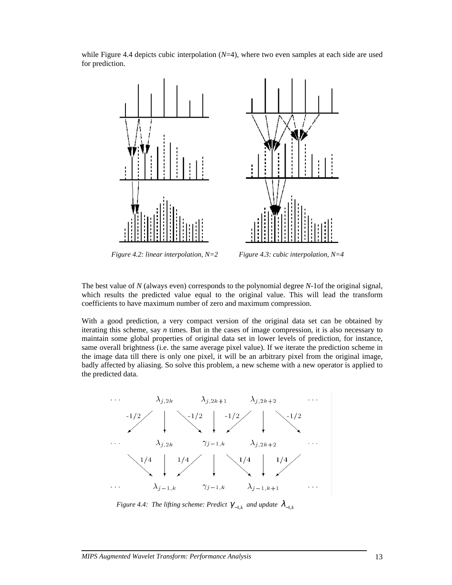

while Figure 4.4 depicts cubic interpolation  $(N=4)$ , where two even samples at each side are used for prediction.

*Figure 4.2: linear interpolation, N=2 Figure 4.3: cubic interpolation, N=4* 

The best value of *N* (always even) corresponds to the polynomial degree *N*-1of the original signal, which results the predicted value equal to the original value. This will lead the transform coefficients to have maximum number of zero and maximum compression.

With a good prediction, a very compact version of the original data set can be obtained by iterating this scheme, say *n* times. But in the cases of image compression, it is also necessary to maintain some global properties of original data set in lower levels of prediction, for instance, same overall brightness (i.e. the same average pixel value). If we iterate the prediction scheme in the image data till there is only one pixel, it will be an arbitrary pixel from the original image, badly affected by aliasing. So solve this problem, a new scheme with a new operator is applied to the predicted data.



*Figure 4.4: The lifting scheme: Predict*  $\gamma_{-1,k}$  *and update*  $\lambda_{-1,k}$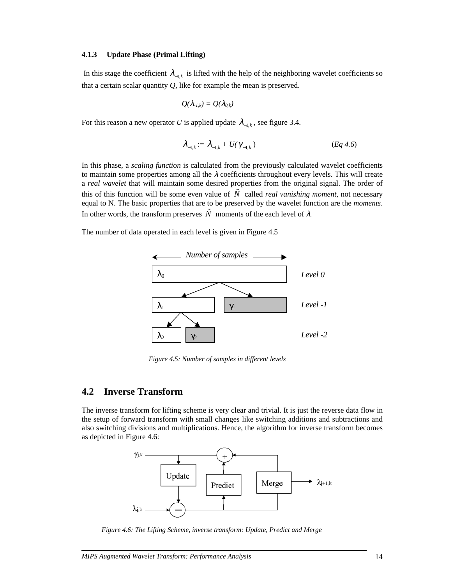#### **4.1.3 Update Phase (Primal Lifting)**

In this stage the coefficient  $\lambda_{-1,k}$  is lifted with the help of the neighboring wavelet coefficients so that a certain scalar quantity *Q,* like for example the mean is preserved.

$$
Q(\lambda_{-l,k})=Q(\lambda_{0,k})
$$

For this reason a new operator *U* is applied update  $\lambda_{-1,k}$ , see figure 3.4.

$$
\lambda_{-1,k} := \lambda_{-1,k} + U(\gamma_{-1,k})
$$
 (Eq 4.6)

In this phase, a *scaling function* is calculated from the previously calculated wavelet coefficients to maintain some properties among all the  $\lambda$  coefficients throughout every levels. This will create a *real wavelet* that will maintain some desired properties from the original signal. The order of this of this function will be some even value of  $\tilde{N}$  called *real vanishing moment*, not necessary equal to N. The basic properties that are to be preserved by the wavelet function are the *moments*. In other words, the transform preserves  $\tilde{N}$  moments of the each level of  $\lambda$ .

The number of data operated in each level is given in Figure 4.5



 *Figure 4.5: Number of samples in different levels*

### **4.2 Inverse Transform**

The inverse transform for lifting scheme is very clear and trivial. It is just the reverse data flow in the setup of forward transform with small changes like switching additions and subtractions and also switching divisions and multiplications. Hence, the algorithm for inverse transform becomes as depicted in Figure 4.6:



*Figure 4.6: The Lifting Scheme, inverse transform: Update, Predict and Merge*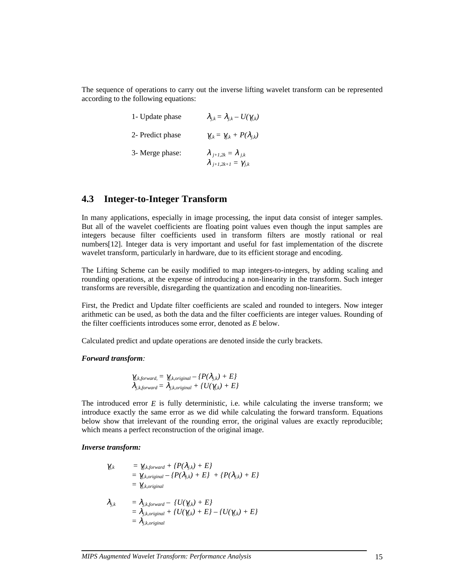The sequence of operations to carry out the inverse lifting wavelet transform can be represented according to the following equations:

| 1- Update phase  | $\lambda_{i,k} = \lambda_{i,k} - U(\gamma_{i,k})$                         |
|------------------|---------------------------------------------------------------------------|
| 2- Predict phase | $\gamma_{i,k} = \gamma_{i,k} + P(\lambda_{i,k})$                          |
| 3- Merge phase:  | $\lambda_{j+1,2k} = \lambda_{j,k}$<br>$\lambda_{j+1,2k+1} = \gamma_{j,k}$ |

### **4.3 Integer-to-Integer Transform**

In many applications, especially in image processing, the input data consist of integer samples. But all of the wavelet coefficients are floating point values even though the input samples are integers because filter coefficients used in transform filters are mostly rational or real numbers[12]. Integer data is very important and useful for fast implementation of the discrete wavelet transform, particularly in hardware, due to its efficient storage and encoding.

The Lifting Scheme can be easily modified to map integers-to-integers, by adding scaling and rounding operations, at the expense of introducing a non-linearity in the transform. Such integer transforms are reversible, disregarding the quantization and encoding non-linearities.

First, the Predict and Update filter coefficients are scaled and rounded to integers. Now integer arithmetic can be used, as both the data and the filter coefficients are integer values. Rounding of the filter coefficients introduces some error, denoted as *E* below.

Calculated predict and update operations are denoted inside the curly brackets.

#### *Forward transform:*

$$
\gamma_{j,k,forward} = \gamma_{j,k,original} - \{P(\lambda_{j,k}) + E\}
$$
  

$$
\lambda_{j,k,forward} = \lambda_{j,k,original} + \{U(\gamma_{j,k}) + E\}
$$

The introduced error *E* is fully deterministic, i.e. while calculating the inverse transform; we introduce exactly the same error as we did while calculating the forward transform. Equations below show that irrelevant of the rounding error, the original values are exactly reproducible; which means a perfect reconstruction of the original image.

#### *Inverse transform:*

$$
\gamma_{j,k} = \gamma_{j,k,forward} + \{P(\lambda_{j,k}) + E\} \n= \gamma_{j,k,original} - \{P(\lambda_{j,k}) + E\} + \{P(\lambda_{j,k}) + E\} \n= \gamma_{j,k,original}
$$

$$
\lambda_{j,k} = \lambda_{j,k,forward} - \{U(\gamma_{j,k}) + E\} \n= \lambda_{j,k,original} + \{U(\gamma_{j,k}) + E\} - \{U(\gamma_{j,k}) + E\} \n= \lambda_{j,k,original}
$$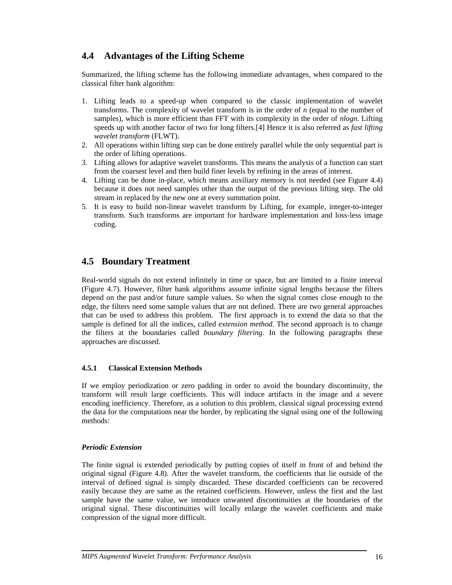## **4.4 Advantages of the Lifting Scheme**

Summarized, the lifting scheme has the following immediate advantages, when compared to the classical filter bank algorithm:

- 1. Lifting leads to a speed-up when compared to the classic implementation of wavelet transforms. The complexity of wavelet transform is in the order of *n* (equal to the number of samples), which is more efficient than FFT with its complexity in the order of *nlogn*. Lifting speeds up with another factor of two for long filters.[4] Hence it is also referred as *fast lifting wavelet transform* (FLWT).
- 2. All operations within lifting step can be done entirely parallel while the only sequential part is the order of lifting operations.
- 3. Lifting allows for adaptive wavelet transforms. This means the analysis of a function can start from the coarsest level and then build finer levels by refining in the areas of interest.
- 4. Lifting can be done in-place, which means auxiliary memory is not needed (see Figure 4.4) because it does not need samples other than the output of the previous lifting step. The old stream in replaced by the new one at every summation point.
- 5. It is easy to build non-linear wavelet transform by Lifting, for example, integer-to-integer transform. Such transforms are important for hardware implementation and loss-less image coding.

## **4.5 Boundary Treatment**

Real-world signals do not extend infinitely in time or space, but are limited to a finite interval (Figure 4.7). However, filter bank algorithms assume infinite signal lengths because the filters depend on the past and/or future sample values. So when the signal comes close enough to the edge, the filters need some sample values that are not defined. There are two general approaches that can be used to address this problem. The first approach is to extend the data so that the sample is defined for all the indices, called *extension method*. The second approach is to change the filters at the boundaries called *boundary filtering*. In the following paragraphs these approaches are discussed.

#### **4.5.1 Classical Extension Methods**

If we employ periodization or zero padding in order to avoid the boundary discontinuity, the transform will result large coefficients. This will induce artifacts in the image and a severe encoding inefficiency. Therefore, as a solution to this problem, classical signal processing extend the data for the computations near the border, by replicating the signal using one of the following methods:

#### *Periodic Extension*

The finite signal is extended periodically by putting copies of itself in front of and behind the original signal (Figure 4.8). After the wavelet transform, the coefficients that lie outside of the interval of defined signal is simply discarded. These discarded coefficients can be recovered easily because they are same as the retained coefficients. However, unless the first and the last sample have the same value, we introduce unwanted discontinuities at the boundaries of the original signal. These discontinuities will locally enlarge the wavelet coefficients and make compression of the signal more difficult.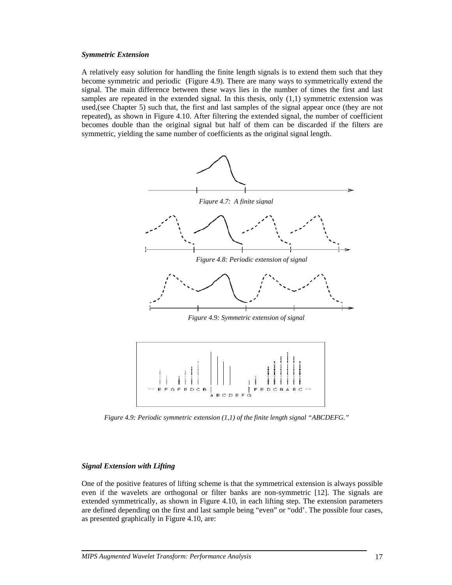#### *Symmetric Extension*

A relatively easy solution for handling the finite length signals is to extend them such that they become symmetric and periodic (Figure 4.9). There are many ways to symmetrically extend the signal. The main difference between these ways lies in the number of times the first and last samples are repeated in the extended signal. In this thesis, only  $(1,1)$  symmetric extension was used,(see Chapter 5) such that, the first and last samples of the signal appear once (they are not repeated), as shown in Figure 4.10. After filtering the extended signal, the number of coefficient becomes double than the original signal but half of them can be discarded if the filters are symmetric, yielding the same number of coefficients as the original signal length.



*Figure 4.9: Periodic symmetric extension (1,1) of the finite length signal "ABCDEFG."*

#### *Signal Extension with Lifting*

One of the positive features of lifting scheme is that the symmetrical extension is always possible even if the wavelets are orthogonal or filter banks are non-symmetric [12]. The signals are extended symmetrically, as shown in Figure 4.10, in each lifting step. The extension parameters are defined depending on the first and last sample being "even" or "odd'. The possible four cases, as presented graphically in Figure 4.10, are: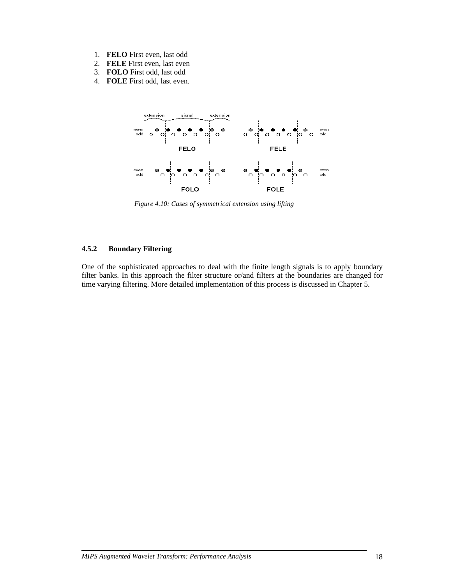- 1. **FELO** First even, last odd
- 2. **FELE** First even, last even
- 3. **FOLO** First odd, last odd
- 4. **FOLE** First odd, last even.



*Figure 4.10: Cases of symmetrical extension using lifting* 

#### **4.5.2 Boundary Filtering**

One of the sophisticated approaches to deal with the finite length signals is to apply boundary filter banks. In this approach the filter structure or/and filters at the boundaries are changed for time varying filtering. More detailed implementation of this process is discussed in Chapter 5.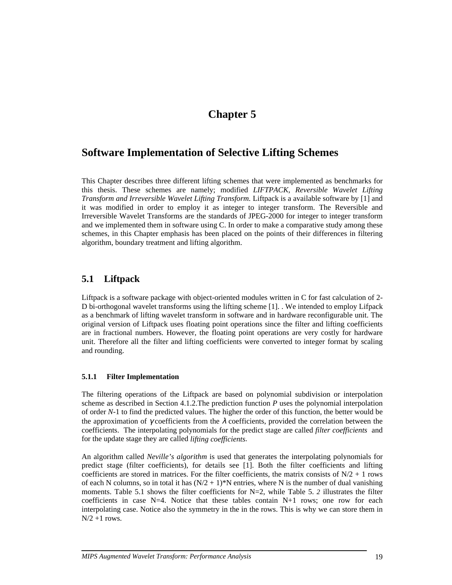## **Chapter 5**

## **Software Implementation of Selective Lifting Schemes**

This Chapter describes three different lifting schemes that were implemented as benchmarks for this thesis. These schemes are namely; modified *LIFTPACK, Reversible Wavelet Lifting Transform and Irreversible Wavelet Lifting Transform.* Liftpack is a available software by [1] and it was modified in order to employ it as integer to integer transform. The Reversible and Irreversible Wavelet Transforms are the standards of JPEG-2000 for integer to integer transform and we implemented them in software using C. In order to make a comparative study among these schemes, in this Chapter emphasis has been placed on the points of their differences in filtering algorithm, boundary treatment and lifting algorithm.

## **5.1 Liftpack**

Liftpack is a software package with object-oriented modules written in C for fast calculation of 2- D bi-orthogonal wavelet transforms using the lifting scheme [1]. . We intended to employ Lifpack as a benchmark of lifting wavelet transform in software and in hardware reconfigurable unit. The original version of Liftpack uses floating point operations since the filter and lifting coefficients are in fractional numbers. However, the floating point operations are very costly for hardware unit. Therefore all the filter and lifting coefficients were converted to integer format by scaling and rounding.

#### **5.1.1 Filter Implementation**

The filtering operations of the Liftpack are based on polynomial subdivision or interpolation scheme as described in Section 4.1.2.The prediction function *P* uses the polynomial interpolation of order *N*-1 to find the predicted values. The higher the order of this function, the better would be the approximation of  $\gamma$  coefficients from the  $\lambda$  coefficients, provided the correlation between the coefficients. The interpolating polynomials for the predict stage are called *filter coefficients* and for the update stage they are called *lifting coefficients*.

An algorithm called *Neville's algorithm* is used that generates the interpolating polynomials for predict stage (filter coefficients), for details see [1]. Both the filter coefficients and lifting coefficients are stored in matrices. For the filter coefficients, the matrix consists of  $N/2 + 1$  rows of each N columns, so in total it has  $(N/2 + 1)^*N$  entries, where N is the number of dual vanishing moments. Table 5.1 shows the filter coefficients for N=2, while Table 5. 2 illustrates the filter coefficients in case  $N=4$ . Notice that these tables contain  $N+1$  rows; one row for each interpolating case. Notice also the symmetry in the in the rows. This is why we can store them in  $N/2 + 1$  rows.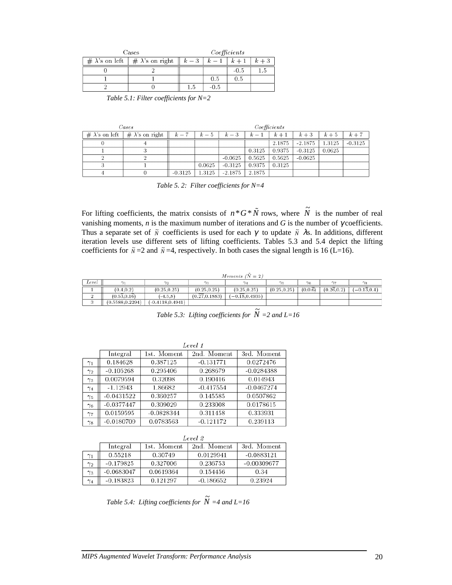| Cases                  |                                       |       | Coefficients |        |       |
|------------------------|---------------------------------------|-------|--------------|--------|-------|
| # $\lambda$ 's on left | $\frac{1}{2}$ # $\lambda$ 's on right | $k-3$ |              |        | $k+3$ |
|                        |                                       |       |              | $-0.5$ | ۲. I  |
|                        |                                       |       | 0.5          | 0.5    |       |
|                        |                                       | L.b   | -0.5         |        |       |

*Table 5.1: Filter coefficients for N=2* 

| $\it{Cases}$ |                                                  |           |        |           |        | Coefficients |           |        |           |
|--------------|--------------------------------------------------|-----------|--------|-----------|--------|--------------|-----------|--------|-----------|
|              | # $\lambda$ 's on left   # $\lambda$ 's on right | $k-7$     | $k-5$  | $k-3$     | $k-1$  | $k+1$        | $k+3$     | $k+5$  | $k+7$     |
|              |                                                  |           |        |           |        | 2.1875       | $-2.1875$ | 1.3125 | $-0.3125$ |
|              |                                                  |           |        |           | 0.3125 | 0.9375       | $-0.3125$ | 0.0625 |           |
|              |                                                  |           |        | $-0.0625$ | 0.5625 | 0.5625       | $-0.0625$ |        |           |
|              |                                                  |           | 0.0625 | $-0.3125$ | 0.9375 | 0.3125       |           |        |           |
|              |                                                  | $-0.3125$ | 1.3125 | $-2.1875$ | 2.1875 |              |           |        |           |

*Table 5. 2: Filter coefficients for N=4* 

For lifting coefficients, the matrix consists of  $n * G * N$  rows, where  $\tilde{N}$  is the number of real vanishing moments,  $n$  is the maximum number of iterations and  $G$  is the number of  $\gamma$  coefficients. Thus a separate set of  $\tilde{N}$  coefficients is used for each  $\gamma$  to update  $\tilde{N}$   $\lambda$ s. In additions, different iteration levels use different sets of lifting coefficients. Tables 5.3 and 5.4 depict the lifting coefficients for  $\tilde{N}$  =2 and  $\tilde{N}$  =4, respectively. In both cases the signal length is 16 (L=16).

|         | Moments $(N = 2)$                  |                    |                             |                   |                  |                       |            |                           |
|---------|------------------------------------|--------------------|-----------------------------|-------------------|------------------|-----------------------|------------|---------------------------|
| Level   | $\sim$                             | $\gamma_0$         | $\gamma_2$                  | $\sim$            | $\gamma_{\rm E}$ | $\gamma$ <sub>6</sub> | C/m        | $^{\gamma_{\mathcal{R}}}$ |
|         | (0.4.0.2)                          | (0.25.0.25)        | (0.25.0.25)                 | (0.25.0.25)       | (0.25.0.25)      | $(0.0.\overline{6})$  | (0.26.0.2) | $(-0.1\overline{3}0.4)$   |
|         | $(0.5\overline{3}0.1\overline{6})$ | $(-4.5.8)$         | $(0.\overline{27}, 0.1883)$ | $(-0.18, 0.4935)$ |                  |                       |            |                           |
| $\cdot$ | (0.5588, 0.2294)                   | $(-0.4118.0.4941)$ |                             |                   |                  |                       |            |                           |

*Table 5.3: Lifting coefficients for*  $\widetilde{N}$  =2 and *L*=16

|            | Level 1      |              |             |              |  |  |  |
|------------|--------------|--------------|-------------|--------------|--|--|--|
|            | Integral     | 1st. Moment  | 2nd. Moment | 3rd. Moment  |  |  |  |
| $\gamma_1$ | 0.184628     | 0.387125     | $-0.131771$ | 0.0272476    |  |  |  |
| $\gamma_2$ | $-0.105268$  | 0.295406     | 0.268679    | $-0.0284388$ |  |  |  |
| $\gamma_3$ | 0.0079594    | 0.32098      | 0.190416    | 0.014943     |  |  |  |
| $\gamma_4$ | $-1.12943$   | 1.86682      | $-0.417554$ | $-0.0467274$ |  |  |  |
| $\gamma_5$ | $-0.0431522$ | 0.360257     | 0.145585    | 0.0507862    |  |  |  |
| $\gamma_6$ | $-0.0377447$ | 0.309029     | 0.233008    | 0.0178615    |  |  |  |
| $\gamma_7$ | 0.0159595    | $-0.0828344$ | 0.311458    | 0.333931     |  |  |  |
| $\gamma_8$ | $-0.0180709$ | 0.0783563    | $-0.121172$ | 0.239113     |  |  |  |

|            | Level 2      |             |             |               |  |  |  |
|------------|--------------|-------------|-------------|---------------|--|--|--|
|            | Integral     | 1st. Moment | 2nd. Moment | 3rd. Moment   |  |  |  |
| $\gamma_1$ | 0.55218      | 0.30749     | 0.0129941   | $-0.0883121$  |  |  |  |
| $\gamma_2$ | $-0.179825$  | 0.327006    | 0.236753    | $-0.00309677$ |  |  |  |
| $\gamma_3$ | $-0.0683047$ | 0.0619364   | 0.154456    | 0.34          |  |  |  |
| $\gamma_4$ | $-0.183823$  | 0.121297    | $-0.186652$ | 0.23924       |  |  |  |

*Table 5.4: Lifting coefficients for*  $\widetilde{N}$  =4 and L=16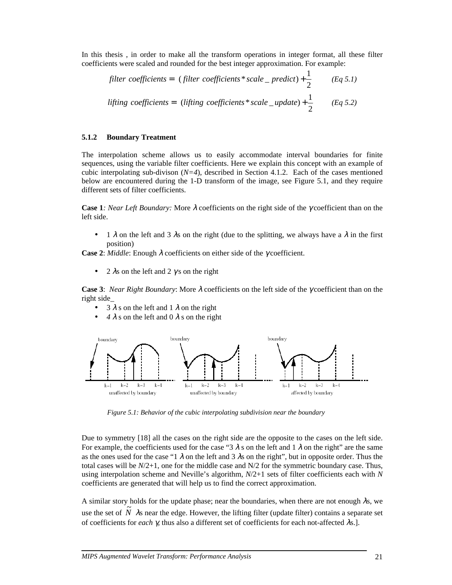In this thesis , in order to make all the transform operations in integer format, all these filter coefficients were scaled and rounded for the best integer approximation. For example:

filter coefficients = 
$$
\left[\text{(filter coefficients * scale\_predict)} + \frac{1}{2}\right] \qquad (Eq 5.1)
$$
\n
$$
\text{lifting coefficients} = \left[\text{(lifting coefficients * scale\_update)} + \frac{1}{2}\right] \qquad (Eq 5.2)
$$

#### **5.1.2 Boundary Treatment**

The interpolation scheme allows us to easily accommodate interval boundaries for finite sequences, using the variable filter coefficients. Here we explain this concept with an example of cubic interpolating sub-divison  $(N=4)$ , described in Section 4.1.2. Each of the cases mentioned below are encountered during the 1-D transform of the image, see Figure 5.1, and they require different sets of filter coefficients.

**Case 1***: Near Left Boundary:* More λ coefficients on the right side of the γ coefficient than on the left side.

 $1 \lambda$  on the left and 3 λs on the right (due to the splitting, we always have a λ in the first position)

**Case 2**: *Middle*: Enough λ coefficients on either side of the γ coefficient.

• 2  $\lambda$ s on the left and 2  $\gamma$ s on the right

**Case 3**: *Near Right Boundary*: More λ coefficients on the left side of the γ coefficient than on the right side\_

- $3 \lambda$  s on the left and 1  $\lambda$  on the right
- $4 \lambda$  s on the left and 0  $\lambda$  s on the right



*Figure 5.1: Behavior of the cubic interpolating subdivision near the boundary* 

Due to symmetry [18] all the cases on the right side are the opposite to the cases on the left side. For example, the coefficients used for the case "3  $\lambda$  s on the left and 1  $\lambda$  on the right" are the same as the ones used for the case "1  $\lambda$  on the left and 3  $\lambda$ s on the right", but in opposite order. Thus the total cases will be  $N/2+1$ , one for the middle case and  $N/2$  for the symmetric boundary case. Thus, using interpolation scheme and Neville's algorithm, *N*/2+1 sets of filter coefficients each with *N* coefficients are generated that will help us to find the correct approximation.

A similar story holds for the update phase; near the boundaries, when there are not enough  $\lambda$ s, we use the set of  $\tilde{N}$   $\lambda$ s near the edge. However, the lifting filter (update filter) contains a separate set of coefficients for *each* γ*,* thus also a different set of coefficients for each not-affected λs.].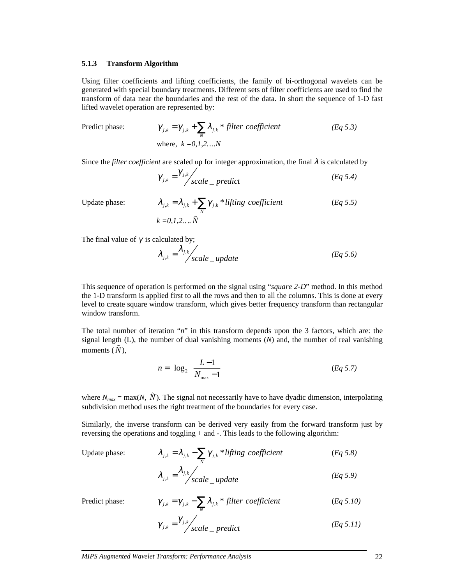#### **5.1.3 Transform Algorithm**

Using filter coefficients and lifting coefficients, the family of bi-orthogonal wavelets can be generated with special boundary treatments. Different sets of filter coefficients are used to find the transform of data near the boundaries and the rest of the data. In short the sequence of 1-D fast lifted wavelet operation are represented by:

Predict phase:

Predict phase: 
$$
\gamma_{j,k} = \gamma_{j,k} + \sum_{\tilde{N}} \lambda_{j,k} * filter coefficient
$$
 (Eq 5.3)  
where,  $k = 0, 1, 2, ..., N$ 

Since the *filter coefficient* are scaled up for integer approximation, the final  $\lambda$  is calculated by

$$
\gamma_{j,k} = \frac{\gamma_{j,k}}{scale-predict}
$$
 (Eq 5.4)

Update phase:

Update phase: 
$$
\lambda_{j,k} = \lambda_{j,k} + \sum_{\tilde{N}} \gamma_{j,k} * lifting\ coefficient
$$
 (Eq 5.5)  

$$
k = 0, 1, 2, ..., \tilde{N}
$$

The final value of  $\gamma$  is calculated by;

$$
\lambda_{j,k} = \frac{\lambda_{j,k}}{\text{scale\_update}} \tag{Eq 5.6}
$$

This sequence of operation is performed on the signal using "*square 2-D*" method. In this method the 1-D transform is applied first to all the rows and then to all the columns. This is done at every level to create square window transform, which gives better frequency transform than rectangular window transform.

The total number of iteration "*n*" in this transform depends upon the 3 factors, which are: the signal length (L), the number of dual vanishing moments (*N*) and, the number of real vanishing moments  $(\tilde{N})$ ,

$$
n = \left\lfloor \log_2 \left( \frac{L - 1}{N_{\text{max}} - 1} \right) \right\rfloor \tag{Eq 5.7}
$$

where  $N_{max} = \max(N, \tilde{N})$ . The signal not necessarily have to have dyadic dimension, interpolating subdivision method uses the right treatment of the boundaries for every case.

Similarly, the inverse transform can be derived very easily from the forward transform just by reversing the operations and toggling + and -. This leads to the following algorithm:

Update phase:

Update phase: 
$$
\lambda_{j,k} = \lambda_{j,k} - \sum_{\tilde{N}} \gamma_{j,k} * lifting\ coefficient
$$
 (Eq 5.8)  

$$
\lambda_{j,k} = \frac{\lambda_{j,k}}{\sqrt{gcd\{log\}}}
$$

$$
\lambda_{j,k} = \frac{\lambda_{j,k}}{scale\_update}
$$
 (Eq 5.9)

Predict phase:

$$
\gamma_{j,k} = \gamma_{j,k} - \sum_{N} \lambda_{j,k} * filter coefficient \qquad (Eq 5.10)
$$

$$
\gamma_{j,k} = \gamma_{j,k} / \text{scale}_{\text{perdict}} \tag{Eq 5.11}
$$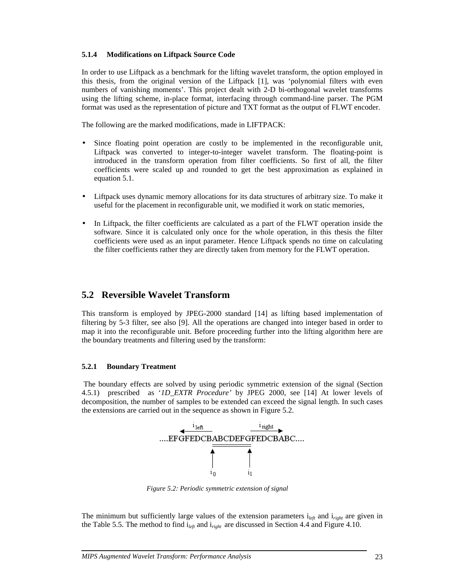#### **5.1.4 Modifications on Liftpack Source Code**

In order to use Liftpack as a benchmark for the lifting wavelet transform, the option employed in this thesis, from the original version of the Liftpack [1], was 'polynomial filters with even numbers of vanishing moments'. This project dealt with 2-D bi-orthogonal wavelet transforms using the lifting scheme, in-place format, interfacing through command-line parser. The PGM format was used as the representation of picture and TXT format as the output of FLWT encoder.

The following are the marked modifications, made in LIFTPACK:

- Since floating point operation are costly to be implemented in the reconfigurable unit, Liftpack was converted to integer-to-integer wavelet transform. The floating-point is introduced in the transform operation from filter coefficients. So first of all, the filter coefficients were scaled up and rounded to get the best approximation as explained in equation 5.1.
- Liftpack uses dynamic memory allocations for its data structures of arbitrary size. To make it useful for the placement in reconfigurable unit, we modified it work on static memories,
- In Liftpack, the filter coefficients are calculated as a part of the FLWT operation inside the software. Since it is calculated only once for the whole operation, in this thesis the filter coefficients were used as an input parameter. Hence Liftpack spends no time on calculating the filter coefficients rather they are directly taken from memory for the FLWT operation.

### **5.2 Reversible Wavelet Transform**

This transform is employed by JPEG-2000 standard [14] as lifting based implementation of filtering by 5-3 filter, see also [9]. All the operations are changed into integer based in order to map it into the reconfigurable unit. Before proceeding further into the lifting algorithm here are the boundary treatments and filtering used by the transform:

#### **5.2.1 Boundary Treatment**

 The boundary effects are solved by using periodic symmetric extension of the signal (Section 4.5.1) prescribed as '*1D\_EXTR Procedure'* by JPEG 2000, see [14] At lower levels of decomposition, the number of samples to be extended can exceed the signal length. In such cases the extensions are carried out in the sequence as shown in Figure 5.2.



*Figure 5.2: Periodic symmetric extension of signal* 

The minimum but sufficiently large values of the extension parameters i*left* and i*right* are given in the Table 5.5. The method to find i*left* and i*right* are discussed in Section 4.4 and Figure 4.10.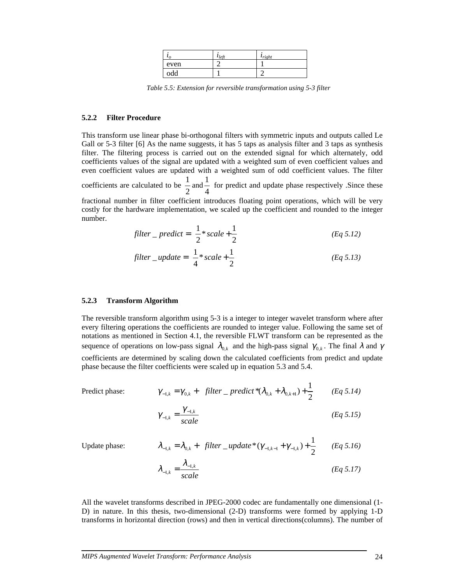| $\iota$ | $l$ <sub>left</sub> | $l_{right}$ |
|---------|---------------------|-------------|
| even    |                     |             |
| odd     |                     |             |

*Table 5.5: Extension for reversible transformation using 5-3 filter* 

#### **5.2.2 Filter Procedure**

This transform use linear phase bi-orthogonal filters with symmetric inputs and outputs called Le Gall or 5-3 filter [6] As the name suggests, it has 5 taps as analysis filter and 3 taps as synthesis filter. The filtering process is carried out on the extended signal for which alternately, odd coefficients values of the signal are updated with a weighted sum of even coefficient values and even coefficient values are updated with a weighted sum of odd coefficient values. The filter

coefficients are calculated to be  $\frac{1}{2}$ 2 and  $\frac{1}{1}$ 4 for predict and update phase respectively .Since these

fractional number in filter coefficient introduces floating point operations, which will be very costly for the hardware implementation, we scaled up the coefficient and rounded to the integer number.

$$
filter\_predict = \left[ \frac{1}{2} * scale + \frac{1}{2} \right]
$$
 (Eq 5.12)

$$
filter\_update = \left\lfloor \frac{1}{4} * scale + \frac{1}{2} \right\rfloor
$$
 (Eq 5.13)

#### **5.2.3 Transform Algorithm**

The reversible transform algorithm using 5-3 is a integer to integer wavelet transform where after every filtering operations the coefficients are rounded to integer value. Following the same set of notations as mentioned in Section 4.1, the reversible FLWT transform can be represented as the sequence of operations on low-pass signal  $\lambda_{0,k}$  and the high-pass signal  $\gamma_{0,k}$ . The final  $\lambda$  and  $\gamma$ coefficients are determined by scaling down the calculated coefficients from predict and update phase because the filter coefficients were scaled up in equation 5.3 and 5.4.

Predict phase:

Predict phase: 
$$
\gamma_{-1,k} = \gamma_{0,k} + \left[ \text{filter} - \text{predict}^*(\lambda_{0,k} + \lambda_{0,k+1}) + \frac{1}{2} \right]
$$
 (Eq 5.14)  

$$
\gamma_{-1,k} = \frac{\gamma_{-1,k}}{\gamma_{-1,k}}
$$
 (Eq 5.15)

Update phase:

Update phase: 
$$
\lambda_{-1,k} = \lambda_{0,k} + \left[ \text{filter\_update*}(\gamma_{-1,k-1} + \gamma_{-1,k}) + \frac{1}{2} \right] \quad (Eq 5.16)
$$

$$
\lambda_{-1,k} = \frac{\lambda_{-1,k}}{scale} \quad (Eq 5.17)
$$

All the wavelet transforms described in JPEG-2000 codec are fundamentally one dimensional (1- D) in nature. In this thesis, two-dimensional (2-D) transforms were formed by applying 1-D transforms in horizontal direction (rows) and then in vertical directions(columns). The number of

*<sup>k</sup> scale*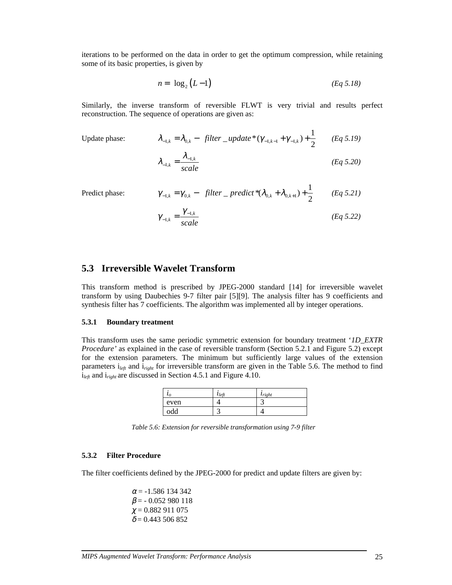iterations to be performed on the data in order to get the optimum compression, while retaining some of its basic properties, is given by

$$
n = \lfloor \log_2 \left( L - 1 \right) \rfloor \tag{Eq 5.18}
$$

Similarly, the inverse transform of reversible FLWT is very trivial and results perfect reconstruction. The sequence of operations are given as:

Update phase:

Update phase: 
$$
\lambda_{-1,k} = \lambda_{0,k} - \left[ \text{filter\_update*}(\gamma_{-1,k-1} + \gamma_{-1,k}) + \frac{1}{2} \right] \quad (Eq 5.19)
$$

$$
\lambda_{-1,k} = \frac{\lambda_{-1,k}}{\text{scale}} \qquad (Eq 5.20)
$$

Predict phase:

$$
\gamma_{-1,k} = \gamma_{0,k} - \left[ \text{filter} - \text{predict}^*(\lambda_{0,k} + \lambda_{0,k+1}) + \frac{1}{2} \right] \qquad (Eq 5.21)
$$

$$
\gamma_{-1,k} = \frac{\gamma_{-1,k}}{\text{scale}} \tag{Eq 5.22}
$$

### **5.3 Irreversible Wavelet Transform**

This transform method is prescribed by JPEG-2000 standard [14] for irreversible wavelet transform by using Daubechies 9-7 filter pair [5][9]. The analysis filter has 9 coefficients and synthesis filter has 7 coefficients. The algorithm was implemented all by integer operations.

#### **5.3.1 Boundary treatment**

This transform uses the same periodic symmetric extension for boundary treatment '*1D\_EXTR Procedure'* as explained in the case of reversible transform (Section 5.2.1 and Figure 5.2) except for the extension parameters. The minimum but sufficiently large values of the extension parameters i*left* and i*right* for irreversible transform are given in the Table 5.6. The method to find i*left* and i*right* are discussed in Section 4.5.1 and Figure 4.10.

| $\iota$ | $l$ <sub>left</sub> | $l_{right}$ |
|---------|---------------------|-------------|
| even    |                     |             |
| odd     | ╭                   |             |

*Table 5.6: Extension for reversible transformation using 7-9 filter* 

#### **5.3.2 Filter Procedure**

The filter coefficients defined by the JPEG-2000 for predict and update filters are given by:

 $\alpha$  = -1.586 134 342  $\beta$  = -0.052 980 118  $\chi = 0.882911075$  $\delta$  = 0.443 506 852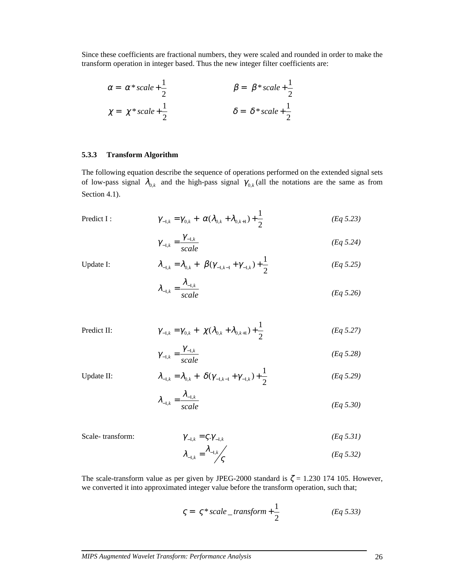Since these coefficients are fractional numbers, they were scaled and rounded in order to make the transform operation in integer based. Thus the new integer filter coefficients are:

$$
\alpha = \begin{bmatrix} \alpha * scale + \frac{1}{2} \end{bmatrix} \qquad \beta = \begin{bmatrix} \beta * scale + \frac{1}{2} \end{bmatrix}
$$
  

$$
\chi = \begin{bmatrix} \chi * scale + \frac{1}{2} \end{bmatrix} \qquad \delta = \begin{bmatrix} \delta * scale + \frac{1}{2} \end{bmatrix}
$$

#### **5.3.3 Transform Algorithm**

The following equation describe the sequence of operations performed on the extended signal sets of low-pass signal  $\lambda_{0,k}$  and the high-pass signal  $\gamma_{0,k}$  (all the notations are the same as from Section 4.1).

Predict I:

$$
\gamma_{-1,k} = \gamma_{0,k} + \left[ \alpha (\lambda_{0,k} + \lambda_{0,k+1}) + \frac{1}{2} \right]
$$
 (Eq 5.23)

$$
\gamma_{-1,k} = \frac{\gamma_{-1,k}}{scale} \tag{Eq 5.24}
$$

Update I:  $\lambda$ 

Predict II:

Update II:

$$
\lambda_{-1,k} = \lambda_{0,k} + \left[ \beta(\gamma_{-1,k-1} + \gamma_{-1,k}) + \frac{1}{2} \right]
$$
 (Eq 5.25)

$$
\lambda_{-1,k} = \frac{\lambda_{-1,k}}{scale} \tag{Eq 5.26}
$$

$$
\gamma_{-1,k} = \gamma_{0,k} + \left[ \chi(\lambda_{0,k} + \lambda_{0,k+1}) + \frac{1}{2} \right]
$$
 (Eq 5.27)

$$
\gamma_{-1,k} = \frac{\gamma_{-1,k}}{scale} \tag{Eq 5.28}
$$

$$
\lambda_{-1,k} = \lambda_{0,k} + \left[ \delta(\gamma_{-1,k-1} + \gamma_{-1,k}) + \frac{1}{2} \right]
$$
 (Eq 5.29)

$$
\lambda_{-1,k} = \frac{\lambda_{-1,k}}{scale} \tag{Eq 5.30}
$$

Scale- transform: 
$$
\gamma_{-1,k} = \zeta \cdot \gamma_{-1,k}
$$
 (Eq 5.31)

$$
\lambda_{-1,k} = \lambda_{-1,k} / \mathcal{S} \tag{Eq 5.32}
$$

The scale-transform value as per given by JPEG-2000 standard is  $\zeta = 1.230$  174 105. However, we converted it into approximated integer value before the transform operation, such that;

$$
\zeta = \left[ \zeta * scale\_transform + \frac{1}{2} \right]
$$
 (Eq 5.33)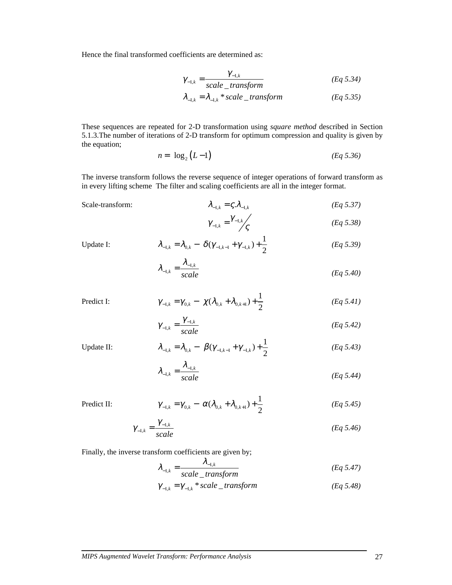Hence the final transformed coefficients are determined as:

$$
\gamma_{-1,k} = \frac{\gamma_{-1,k}}{\text{scale\_transform}} \tag{Eq 5.34}
$$

$$
\lambda_{-1,k} = \lambda_{-1,k} * scale\_transform
$$
 (Eq 5.35)

These sequences are repeated for 2-D transformation using *square method* described in Section 5.1.3.The number of iterations of 2-D transform for optimum compression and quality is given by the equation;

$$
n = \lfloor \log_2 \left( L - 1 \right) \rfloor \tag{Eq 5.36}
$$

The inverse transform follows the reverse sequence of integer operations of forward transform as in every lifting scheme The filter and scaling coefficients are all in the integer format.

Scale-transform:  $\lambda_{-1,k} = \zeta \cdot \lambda_{-1,k}$  (*Eq 5.37)* 

$$
\gamma_{-1,k} = \gamma_{-1,k} \tag{Eq 5.38}
$$

Update I:

$$
\lambda_{-1,k} = \lambda_{0,k} - \left[ \delta(\gamma_{-1,k-1} + \gamma_{-1,k}) + \frac{1}{2} \right]
$$
 (Eq 5.39)

$$
\lambda_{-1,k} = \frac{\lambda_{-1,k}}{scale} \tag{Eq 5.40}
$$

Predict I:  $\gamma$ 

$$
\gamma_{-1,k} = \gamma_{0,k} - \left[ \chi(\lambda_{0,k} + \lambda_{0,k+1}) + \frac{1}{2} \right]
$$
 (Eq 5.41)

$$
\gamma_{-1,k} = \frac{\gamma_{-1,k}}{scale} \tag{Eq 5.42}
$$

Update II:

$$
\lambda_{-1,k} = \lambda_{0,k} - \left[ \beta(\gamma_{-1,k-1} + \gamma_{-1,k}) + \frac{1}{2} \right]
$$
 (Eq 5.43)

$$
\lambda_{-1,k} = \frac{\lambda_{-1,k}}{scale} \tag{Eq 5.44}
$$

Predict II:

$$
\gamma_{-1,k} = \gamma_{0,k} - \left[ \alpha (\lambda_{0,k} + \lambda_{0,k+1}) + \frac{1}{2} \right]
$$
 (Eq 5.45)

$$
\gamma_{-1,k} = \frac{\gamma_{-1,k}}{\text{scale}} \tag{Eq 5.46}
$$

Finally, the inverse transform coefficients are given by;

$$
\lambda_{-1,k} = \frac{\lambda_{-1,k}}{scale\_transform}
$$
 (Eq 5.47)

$$
\gamma_{-1,k} = \gamma_{-1,k} * scale\_transform \qquad (Eq 5.48)
$$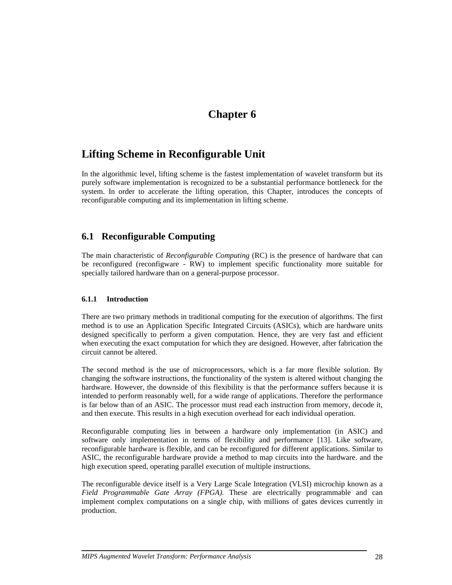## **Chapter 6**

## **Lifting Scheme in Reconfigurable Unit**

In the algorithmic level, lifting scheme is the fastest implementation of wavelet transform but its purely software implementation is recognized to be a substantial performance bottleneck for the system. In order to accelerate the lifting operation, this Chapter, introduces the concepts of reconfigurable computing and its implementation in lifting scheme.

## **6.1 Reconfigurable Computing**

The main characteristic of *Reconfigurable Computing* (RC) is the presence of hardware that can be reconfigured (reconfigware - RW) to implement specific functionality more suitable for specially tailored hardware than on a general-purpose processor.

#### **6.1.1 Introduction**

There are two primary methods in traditional computing for the execution of algorithms. The first method is to use an Application Specific Integrated Circuits (ASICs), which are hardware units designed specifically to perform a given computation. Hence, they are very fast and efficient when executing the exact computation for which they are designed. However, after fabrication the circuit cannot be altered.

The second method is the use of microprocessors, which is a far more flexible solution. By changing the software instructions, the functionality of the system is altered without changing the hardware. However, the downside of this flexibility is that the performance suffers because it is intended to perform reasonably well, for a wide range of applications. Therefore the performance is far below than of an ASIC. The processor must read each instruction from memory, decode it, and then execute. This results in a high execution overhead for each individual operation.

Reconfigurable computing lies in between a hardware only implementation (in ASIC) and software only implementation in terms of flexibility and performance [13]. Like software, reconfigurable hardware is flexible, and can be reconfigured for different applications. Similar to ASIC, the reconfigurable hardware provide a method to map circuits into the hardware. and the high execution speed, operating parallel execution of multiple instructions.

The reconfigurable device itself is a Very Large Scale Integration (VLSI) microchip known as a *Field Programmable Gate Array (FPGA).* These are electrically programmable and can implement complex computations on a single chip, with millions of gates devices currently in production.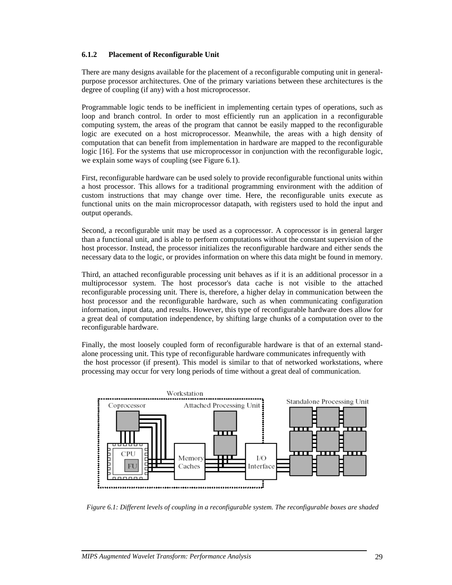#### **6.1.2 Placement of Reconfigurable Unit**

There are many designs available for the placement of a reconfigurable computing unit in generalpurpose processor architectures. One of the primary variations between these architectures is the degree of coupling (if any) with a host microprocessor.

Programmable logic tends to be inefficient in implementing certain types of operations, such as loop and branch control. In order to most efficiently run an application in a reconfigurable computing system, the areas of the program that cannot be easily mapped to the reconfigurable logic are executed on a host microprocessor. Meanwhile, the areas with a high density of computation that can benefit from implementation in hardware are mapped to the reconfigurable logic [16]. For the systems that use microprocessor in conjunction with the reconfigurable logic, we explain some ways of coupling (see Figure 6.1).

First, reconfigurable hardware can be used solely to provide reconfigurable functional units within a host processor. This allows for a traditional programming environment with the addition of custom instructions that may change over time. Here, the reconfigurable units execute as functional units on the main microprocessor datapath, with registers used to hold the input and output operands.

Second, a reconfigurable unit may be used as a coprocessor. A coprocessor is in general larger than a functional unit, and is able to perform computations without the constant supervision of the host processor. Instead, the processor initializes the reconfigurable hardware and either sends the necessary data to the logic, or provides information on where this data might be found in memory.

Third, an attached reconfigurable processing unit behaves as if it is an additional processor in a multiprocessor system. The host processor's data cache is not visible to the attached reconfigurable processing unit. There is, therefore, a higher delay in communication between the host processor and the reconfigurable hardware, such as when communicating configuration information, input data, and results. However, this type of reconfigurable hardware does allow for a great deal of computation independence, by shifting large chunks of a computation over to the reconfigurable hardware.

Finally, the most loosely coupled form of reconfigurable hardware is that of an external standalone processing unit. This type of reconfigurable hardware communicates infrequently with the host processor (if present). This model is similar to that of networked workstations, where processing may occur for very long periods of time without a great deal of communication.



*Figure 6.1: Different levels of coupling in a reconfigurable system. The reconfigurable boxes are shaded*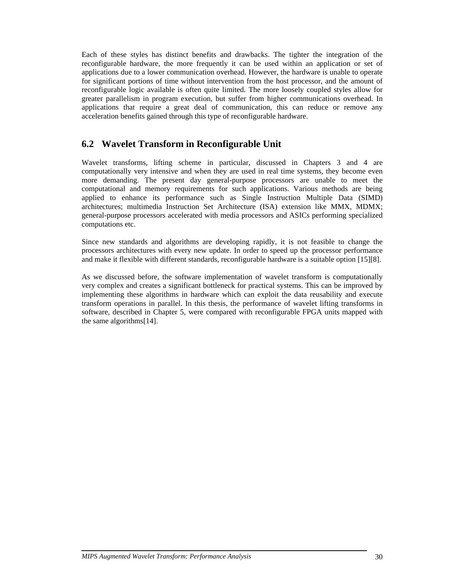Each of these styles has distinct benefits and drawbacks. The tighter the integration of the reconfigurable hardware, the more frequently it can be used within an application or set of applications due to a lower communication overhead. However, the hardware is unable to operate for significant portions of time without intervention from the host processor, and the amount of reconfigurable logic available is often quite limited. The more loosely coupled styles allow for greater parallelism in program execution, but suffer from higher communications overhead. In applications that require a great deal of communication, this can reduce or remove any acceleration benefits gained through this type of reconfigurable hardware.

## **6.2 Wavelet Transform in Reconfigurable Unit**

Wavelet transforms, lifting scheme in particular, discussed in Chapters 3 and 4 are computationally very intensive and when they are used in real time systems, they become even more demanding. The present day general-purpose processors are unable to meet the computational and memory requirements for such applications. Various methods are being applied to enhance its performance such as Single Instruction Multiple Data (SIMD) architectures; multimedia Instruction Set Architecture (ISA) extension like MMX, MDMX; general-purpose processors accelerated with media processors and ASICs performing specialized computations etc.

Since new standards and algorithms are developing rapidly, it is not feasible to change the processors architectures with every new update. In order to speed up the processor performance and make it flexible with different standards, reconfigurable hardware is a suitable option [15][8].

As we discussed before, the software implementation of wavelet transform is computationally very complex and creates a significant bottleneck for practical systems. This can be improved by implementing these algorithms in hardware which can exploit the data reusability and execute transform operations in parallel. In this thesis, the performance of wavelet lifting transforms in software, described in Chapter 5, were compared with reconfigurable FPGA units mapped with the same algorithms[14].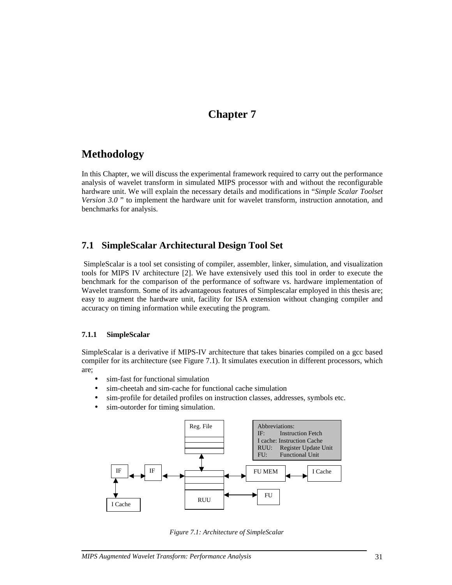## **Chapter 7**

## **Methodology**

In this Chapter, we will discuss the experimental framework required to carry out the performance analysis of wavelet transform in simulated MIPS processor with and without the reconfigurable hardware unit. We will explain the necessary details and modifications in "*Simple Scalar Toolset Version 3.0* " to implement the hardware unit for wavelet transform, instruction annotation, and benchmarks for analysis.

### **7.1 SimpleScalar Architectural Design Tool Set**

 SimpleScalar is a tool set consisting of compiler, assembler, linker, simulation, and visualization tools for MIPS IV architecture [2]. We have extensively used this tool in order to execute the benchmark for the comparison of the performance of software vs. hardware implementation of Wavelet transform. Some of its advantageous features of Simplescalar employed in this thesis are; easy to augment the hardware unit, facility for ISA extension without changing compiler and accuracy on timing information while executing the program.

#### **7.1.1 SimpleScalar**

SimpleScalar is a derivative if MIPS-IV architecture that takes binaries compiled on a gcc based compiler for its architecture (see Figure 7.1). It simulates execution in different processors, which are;

- sim-fast for functional simulation
- sim-cheetah and sim-cache for functional cache simulation
- sim-profile for detailed profiles on instruction classes, addresses, symbols etc.
- sim-outorder for timing simulation.



*Figure 7.1: Architecture of SimpleScalar*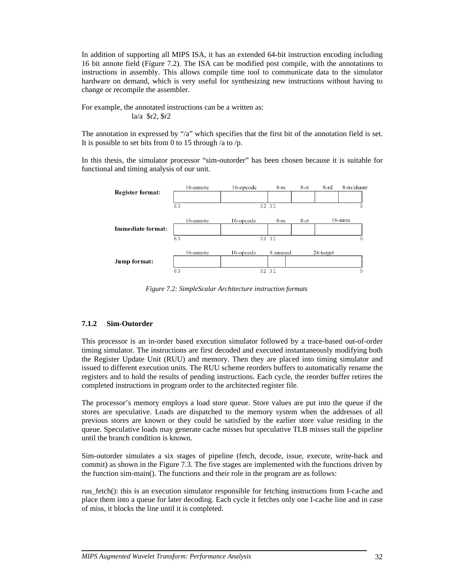In addition of supporting all MIPS ISA, it has an extended 64-bit instruction encoding including 16 bit annote field (Figure 7.2). The ISA can be modified post compile, with the annotations to instructions in assembly. This allows compile time tool to communicate data to the simulator hardware on demand, which is very useful for synthesizing new instructions without having to change or recompile the assembler.

For example, the annotated instructions can be a written as: la/a \$r2, \$r2

The annotation in expressed by "/a" which specifies that the first bit of the annotation field is set. It is possible to set bits from 0 to 15 through /a to /p.

In this thesis, the simulator processor "sim-outorder" has been chosen because it is suitable for functional and timing analysis of our unit.



*Figure 7.2: SimpleScalar Architecture instruction formats* 

#### **7.1.2 Sim-Outorder**

This processor is an in-order based execution simulator followed by a trace-based out-of-order timing simulator. The instructions are first decoded and executed instantaneously modifying both the Register Update Unit (RUU) and memory. Then they are placed into timing simulator and issued to different execution units. The RUU scheme reorders buffers to automatically rename the registers and to hold the results of pending instructions. Each cycle, the reorder buffer retires the completed instructions in program order to the architected register file.

The processor's memory employs a load store queue. Store values are put into the queue if the stores are speculative. Loads are dispatched to the memory system when the addresses of all previous stores are known or they could be satisfied by the earlier store value residing in the queue. Speculative loads may generate cache misses but speculative TLB misses stall the pipeline until the branch condition is known.

Sim-outorder simulates a six stages of pipeline (fetch, decode, issue, execute, write-back and commit) as shown in the Figure 7.3. The five stages are implemented with the functions driven by the function sim-main(). The functions and their role in the program are as follows:

ruu\_fetch(): this is an execution simulator responsible for fetching instructions from I-cache and place them into a queue for later decoding. Each cycle it fetches only one I-cache line and in case of miss, it blocks the line until it is completed.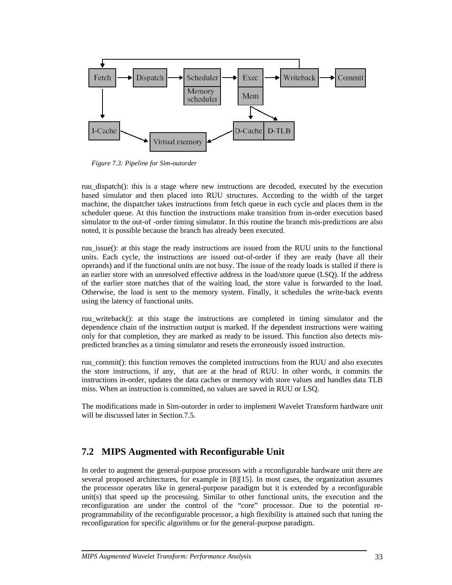

*Figure 7.3: Pipeline for Sim-outorder* 

ruu\_dispatch(): this is a stage where new instructions are decoded, executed by the execution based simulator and then placed into RUU structures. According to the width of the target machine, the dispatcher takes instructions from fetch queue in each cycle and places them in the scheduler queue. At this function the instructions make transition from in-order execution based simulator to the out-of -order timing simulator. In this routine the branch mis-predictions are also noted, it is possible because the branch has already been executed.

ruu\_issue(): at this stage the ready instructions are issued from the RUU units to the functional units. Each cycle, the instructions are issued out-of-order if they are ready (have all their operands) and if the functional units are not busy. The issue of the ready loads is stalled if there is an earlier store with an unresolved effective address in the load/store queue (LSQ). If the address of the earlier store matches that of the waiting load, the store value is forwarded to the load. Otherwise, the load is sent to the memory system. Finally, it schedules the write-back events using the latency of functional units.

ruu\_writeback(): at this stage the instructions are completed in timing simulator and the dependence chain of the instruction output is marked. If the dependent instructions were waiting only for that completion, they are marked as ready to be issued. This function also detects mispredicted branches as a timing simulator and resets the erroneously issued instruction.

ruu commit(): this function removes the completed instructions from the RUU and also executes the store instructions, if any, that are at the head of RUU. In other words, it commits the instructions in-order, updates the data caches or memory with store values and handles data TLB miss. When an instruction is committed, no values are saved in RUU or LSQ.

The modifications made in Sim-outorder in order to implement Wavelet Transform hardware unit will be discussed later in Section.7.5.

## **7.2 MIPS Augmented with Reconfigurable Unit**

In order to augment the general-purpose processors with a reconfigurable hardware unit there are several proposed architectures, for example in [8][15]. In most cases, the organization assumes the processor operates like in general-purpose paradigm but it is extended by a reconfigurable unit(s) that speed up the processing. Similar to other functional units, the execution and the reconfiguration are under the control of the "core" processor. Due to the potential reprogrammability of the reconfigurable processor, a high flexibility is attained such that tuning the reconfiguration for specific algorithms or for the general-purpose paradigm.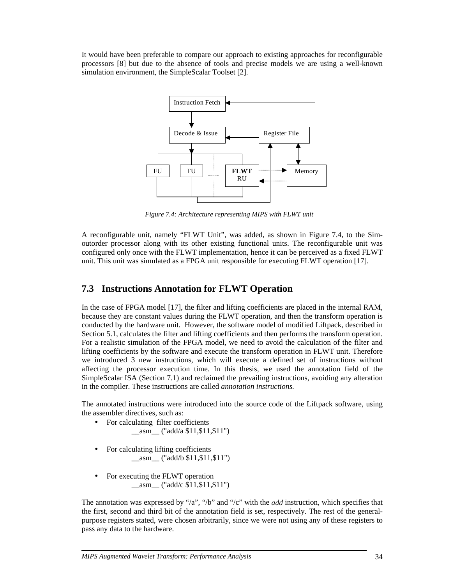It would have been preferable to compare our approach to existing approaches for reconfigurable processors [8] but due to the absence of tools and precise models we are using a well-known simulation environment, the SimpleScalar Toolset [2].



*Figure 7.4: Architecture representing MIPS with FLWT unit* 

A reconfigurable unit, namely "FLWT Unit", was added, as shown in Figure 7.4, to the Simoutorder processor along with its other existing functional units. The reconfigurable unit was configured only once with the FLWT implementation, hence it can be perceived as a fixed FLWT unit. This unit was simulated as a FPGA unit responsible for executing FLWT operation [17].

### **7.3 Instructions Annotation for FLWT Operation**

In the case of FPGA model [17], the filter and lifting coefficients are placed in the internal RAM, because they are constant values during the FLWT operation, and then the transform operation is conducted by the hardware unit. However, the software model of modified Liftpack, described in Section 5.1, calculates the filter and lifting coefficients and then performs the transform operation. For a realistic simulation of the FPGA model, we need to avoid the calculation of the filter and lifting coefficients by the software and execute the transform operation in FLWT unit. Therefore we introduced 3 new instructions, which will execute a defined set of instructions without affecting the processor execution time. In this thesis, we used the annotation field of the SimpleScalar ISA (Section 7.1) and reclaimed the prevailing instructions, avoiding any alteration in the compiler. These instructions are called *annotation instructions.*

The annotated instructions were introduced into the source code of the Liftpack software, using the assembler directives, such as:

- For calculating filter coefficients  $\frac{\text{18}}{2}$  ("add/a \$11,\$11,\$11")
- For calculating lifting coefficients  $\frac{\text{18}}{2}$  ("add/b \$11,\$11,\$11")
- For executing the FLWT operation  $\alpha$ asm ("add/c \$11,\$11,\$11")

The annotation was expressed by "/a", "/b" and "/c" with the *add* instruction, which specifies that the first, second and third bit of the annotation field is set, respectively. The rest of the generalpurpose registers stated, were chosen arbitrarily, since we were not using any of these registers to pass any data to the hardware.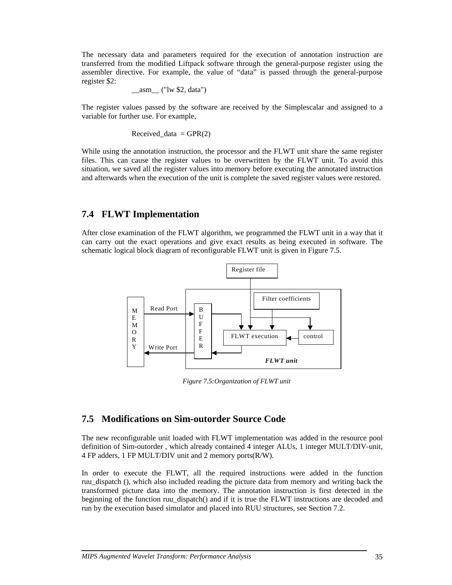The necessary data and parameters required for the execution of annotation instruction are transferred from the modified Liftpack software through the general-purpose register using the assembler directive. For example, the value of "data" is passed through the general-purpose register \$2:

$$
\underline{\hspace{2cm}} \quad \text{asm} \underline{\hspace{2cm}} \text{("lw $2, data")}
$$

The register values passed by the software are received by the Simplescalar and assigned to a variable for further use. For example,

$$
Received\_data = GPR(2)
$$

While using the annotation instruction, the processor and the FLWT unit share the same register files. This can cause the register values to be overwritten by the FLWT unit. To avoid this situation, we saved all the register values into memory before executing the annotated instruction and afterwards when the execution of the unit is complete the saved register values were restored.

#### **7.4 FLWT Implementation**

After close examination of the FLWT algorithm, we programmed the FLWT unit in a way that it can carry out the exact operations and give exact results as being executed in software. The schematic logical block diagram of reconfigurable FLWT unit is given in Figure 7.5.



*Figure 7.5:Organization of FLWT unit* 

### **7.5 Modifications on Sim-outorder Source Code**

The new reconfigurable unit loaded with FLWT implementation was added in the resource pool definition of Sim-outorder , which already contained 4 integer ALUs, 1 integer MULT/DIV-unit, 4 FP adders, 1 FP MULT/DIV unit and 2 memory ports(R/W).

In order to execute the FLWT, all the required instructions were added in the function ruu dispatch (), which also included reading the picture data from memory and writing back the transformed picture data into the memory. The annotation instruction is first detected in the beginning of the function ruu\_dispatch() and if it is true the FLWT instructions are decoded and run by the execution based simulator and placed into RUU structures, see Section 7.2.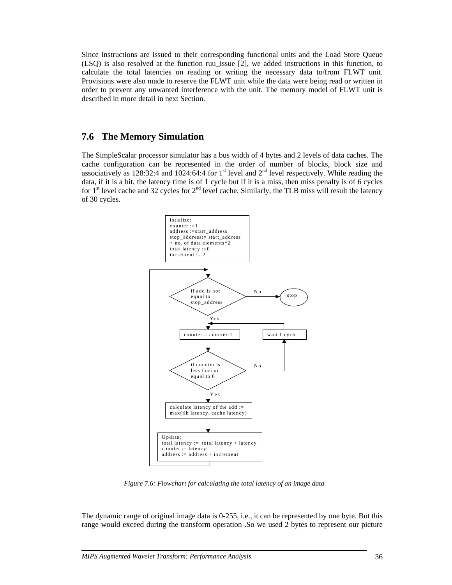Since instructions are issued to their corresponding functional units and the Load Store Queue (LSQ) is also resolved at the function ruu\_issue [2], we added instructions in this function, to calculate the total latencies on reading or writing the necessary data to/from FLWT unit. Provisions were also made to reserve the FLWT unit while the data were being read or written in order to prevent any unwanted interference with the unit. The memory model of FLWT unit is described in more detail in next Section.

### **7.6 The Memory Simulation**

The SimpleScalar processor simulator has a bus width of 4 bytes and 2 levels of data caches. The cache configuration can be represented in the order of number of blocks, block size and associatively as 128:32:4 and 1024:64:4 for 1<sup>st</sup> level and  $2<sup>nd</sup>$  level respectively. While reading the data, if it is a hit, the latency time is of 1 cycle but if it is a miss, then miss penalty is of 6 cycles for  $1<sup>st</sup>$  level cache and 32 cycles for  $2<sup>nd</sup>$  level cache. Similarly, the TLB miss will result the latency of 30 cycles.



*Figure 7.6: Flowchart for calculating the total latency of an image data* 

The dynamic range of original image data is 0-255, i.e., it can be represented by one byte. But this range would exceed during the transform operation .So we used 2 bytes to represent our picture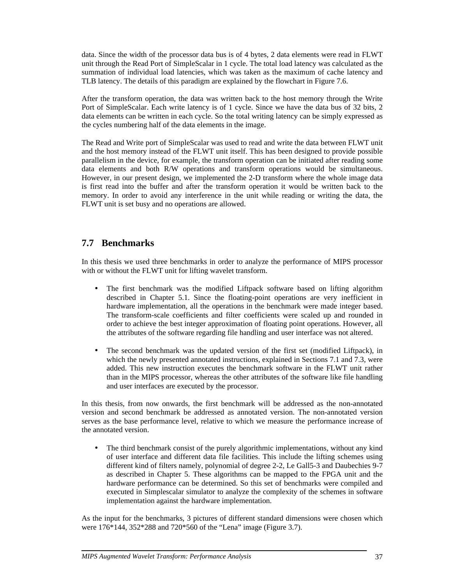data. Since the width of the processor data bus is of 4 bytes, 2 data elements were read in FLWT unit through the Read Port of SimpleScalar in 1 cycle. The total load latency was calculated as the summation of individual load latencies, which was taken as the maximum of cache latency and TLB latency. The details of this paradigm are explained by the flowchart in Figure 7.6.

After the transform operation, the data was written back to the host memory through the Write Port of SimpleScalar. Each write latency is of 1 cycle. Since we have the data bus of 32 bits, 2 data elements can be written in each cycle. So the total writing latency can be simply expressed as the cycles numbering half of the data elements in the image.

The Read and Write port of SimpleScalar was used to read and write the data between FLWT unit and the host memory instead of the FLWT unit itself. This has been designed to provide possible parallelism in the device, for example, the transform operation can be initiated after reading some data elements and both R/W operations and transform operations would be simultaneous. However, in our present design, we implemented the 2-D transform where the whole image data is first read into the buffer and after the transform operation it would be written back to the memory. In order to avoid any interference in the unit while reading or writing the data, the FLWT unit is set busy and no operations are allowed.

## **7.7 Benchmarks**

In this thesis we used three benchmarks in order to analyze the performance of MIPS processor with or without the FLWT unit for lifting wavelet transform.

- The first benchmark was the modified Liftpack software based on lifting algorithm described in Chapter 5.1. Since the floating-point operations are very inefficient in hardware implementation, all the operations in the benchmark were made integer based. The transform-scale coefficients and filter coefficients were scaled up and rounded in order to achieve the best integer approximation of floating point operations. However, all the attributes of the software regarding file handling and user interface was not altered.
- The second benchmark was the updated version of the first set (modified Liftpack), in which the newly presented annotated instructions, explained in Sections 7.1 and 7.3, were added. This new instruction executes the benchmark software in the FLWT unit rather than in the MIPS processor, whereas the other attributes of the software like file handling and user interfaces are executed by the processor.

In this thesis, from now onwards, the first benchmark will be addressed as the non-annotated version and second benchmark be addressed as annotated version. The non-annotated version serves as the base performance level, relative to which we measure the performance increase of the annotated version.

• The third benchmark consist of the purely algorithmic implementations, without any kind of user interface and different data file facilities. This include the lifting schemes using different kind of filters namely, polynomial of degree 2-2, Le Gall5-3 and Daubechies 9-7 as described in Chapter 5. These algorithms can be mapped to the FPGA unit and the hardware performance can be determined. So this set of benchmarks were compiled and executed in Simplescalar simulator to analyze the complexity of the schemes in software implementation against the hardware implementation.

As the input for the benchmarks, 3 pictures of different standard dimensions were chosen which were 176\*144, 352\*288 and 720\*560 of the "Lena" image (Figure 3.7).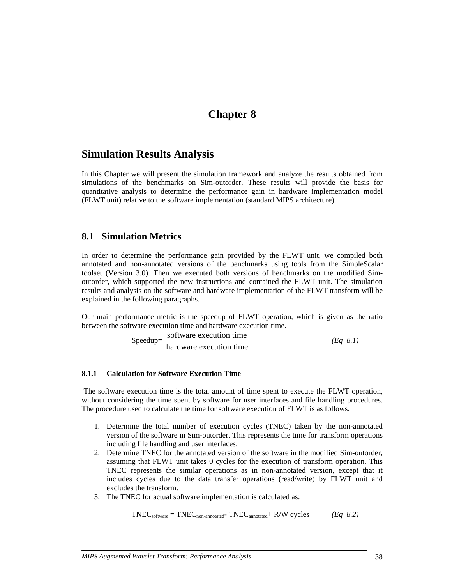## **Chapter 8**

## **Simulation Results Analysis**

In this Chapter we will present the simulation framework and analyze the results obtained from simulations of the benchmarks on Sim-outorder. These results will provide the basis for quantitative analysis to determine the performance gain in hardware implementation model (FLWT unit) relative to the software implementation (standard MIPS architecture).

### **8.1 Simulation Metrics**

In order to determine the performance gain provided by the FLWT unit, we compiled both annotated and non-annotated versions of the benchmarks using tools from the SimpleScalar toolset (Version 3.0). Then we executed both versions of benchmarks on the modified Simoutorder, which supported the new instructions and contained the FLWT unit. The simulation results and analysis on the software and hardware implementation of the FLWT transform will be explained in the following paragraphs.

Our main performance metric is the speedup of FLWT operation, which is given as the ratio between the software execution time and hardware execution time.

$$
Speedup = \frac{software \, execution \, time}{hardware \, execution \, time} \tag{Eq 8.1}
$$

#### **8.1.1 Calculation for Software Execution Time**

 The software execution time is the total amount of time spent to execute the FLWT operation, without considering the time spent by software for user interfaces and file handling procedures. The procedure used to calculate the time for software execution of FLWT is as follows.

- 1. Determine the total number of execution cycles (TNEC) taken by the non-annotated version of the software in Sim-outorder. This represents the time for transform operations including file handling and user interfaces.
- 2. Determine TNEC for the annotated version of the software in the modified Sim-outorder, assuming that FLWT unit takes 0 cycles for the execution of transform operation. This TNEC represents the similar operations as in non-annotated version, except that it includes cycles due to the data transfer operations (read/write) by FLWT unit and excludes the transform.
- 3. The TNEC for actual software implementation is calculated as:

$$
TNEC_{\text{software}} = TNEC_{\text{non-annotated}} - TNEC_{\text{annotated}} + R/W \text{ cycles} \qquad (Eq 8.2)
$$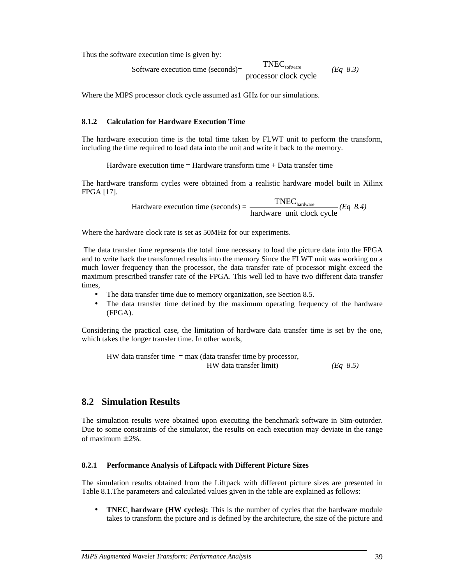Thus the software execution time is given by:

Software execution time (seconds) = 
$$
\frac{\text{TNEC}_{\text{software}}}{\text{processor clock cycle}}
$$
 (*Eq 8.3*)

Where the MIPS processor clock cycle assumed as I GHz for our simulations.

#### **8.1.2 Calculation for Hardware Execution Time**

The hardware execution time is the total time taken by FLWT unit to perform the transform, including the time required to load data into the unit and write it back to the memory.

Hardware execution time  $=$  Hardware transform time  $+$  Data transfer time

The hardware transform cycles were obtained from a realistic hardware model built in Xilinx FPGA [17].

 $\text{Hardware execution time (seconds)} = \frac{\text{TNEC}_{\text{hardware}}}{\text{hardware unit clock cycle}} (Eq 8.4)$ 

Where the hardware clock rate is set as 50MHz for our experiments.

 The data transfer time represents the total time necessary to load the picture data into the FPGA and to write back the transformed results into the memory Since the FLWT unit was working on a much lower frequency than the processor, the data transfer rate of processor might exceed the maximum prescribed transfer rate of the FPGA. This well led to have two different data transfer times,

- The data transfer time due to memory organization, see Section 8.5.
- The data transfer time defined by the maximum operating frequency of the hardware (FPGA).

Considering the practical case, the limitation of hardware data transfer time is set by the one, which takes the longer transfer time. In other words,

HW data transfer time  $=$  max (data transfer time by processor, HW data transfer limit) *(Eq 8.5)*

### **8.2 Simulation Results**

The simulation results were obtained upon executing the benchmark software in Sim-outorder. Due to some constraints of the simulator, the results on each execution may deviate in the range of maximum  $\pm$  2%.

#### **8.2.1 Performance Analysis of Liftpack with Different Picture Sizes**

The simulation results obtained from the Liftpack with different picture sizes are presented in Table 8.1.The parameters and calculated values given in the table are explained as follows:

• **TNEC, hardware (HW cycles):** This is the number of cycles that the hardware module takes to transform the picture and is defined by the architecture, the size of the picture and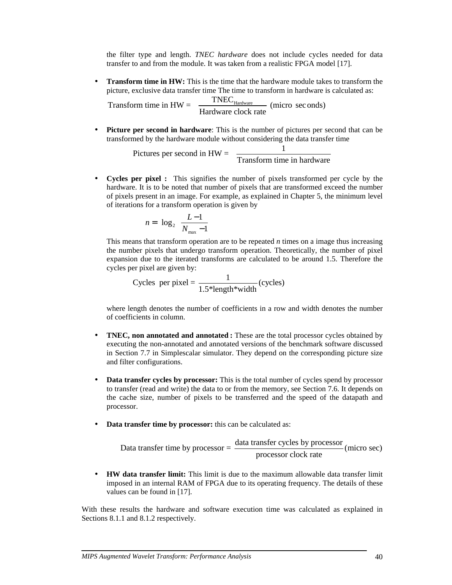the filter type and length. *TNEC hardware* does not include cycles needed for data transfer to and from the module. It was taken from a realistic FPGA model [17].

• **Transform time in HW:** This is the time that the hardware module takes to transform the picture, exclusive data transfer time The time to transform in hardware is calculated as:

Transform time in  $HW = \frac{TNEC_{\text{Hardware}}}{\text{Hardware clock rate}}$  (micro seconds)

• **Picture per second in hardware**: This is the number of pictures per second that can be transformed by the hardware module without considering the data transfer time

Pictures per second in  $HW = \frac{1}{\text{Transform time in hardware}}$ 

• **Cycles per pixel :** This signifies the number of pixels transformed per cycle by the hardware. It is to be noted that number of pixels that are transformed exceed the number of pixels present in an image. For example, as explained in Chapter 5, the minimum level of iterations for a transform operation is given by

$$
n = \left\lfloor \log_2 \left( \frac{L-1}{N_{\text{max}} - 1} \right) \right\rfloor
$$

This means that transform operation are to be repeated *n* times on a image thus increasing the number pixels that undergo transform operation. Theoretically, the number of pixel expansion due to the iterated transforms are calculated to be around 1.5. Therefore the cycles per pixel are given by:

Cycles per pixel = 
$$
\frac{1}{1.5^*length^*width}
$$
(cycles)

where length denotes the number of coefficients in a row and width denotes the number of coefficients in column.

- **TNEC, non annotated and annotated :** These are the total processor cycles obtained by executing the non-annotated and annotated versions of the benchmark software discussed in Section 7.7 in Simplescalar simulator. They depend on the corresponding picture size and filter configurations.
- **Data transfer cycles by processor:** This is the total number of cycles spend by processor to transfer (read and write) the data to or from the memory, see Section 7.6. It depends on the cache size, number of pixels to be transferred and the speed of the datapath and processor.
- **Data transfer time by processor:** this can be calculated as:

Data transfer time by processor = 
$$
\frac{data transfer cycles by processor}{processor clock rate}
$$
 (micro sec)

• **HW data transfer limit:** This limit is due to the maximum allowable data transfer limit imposed in an internal RAM of FPGA due to its operating frequency. The details of these values can be found in [17].

With these results the hardware and software execution time was calculated as explained in Sections 8.1.1 and 8.1.2 respectively.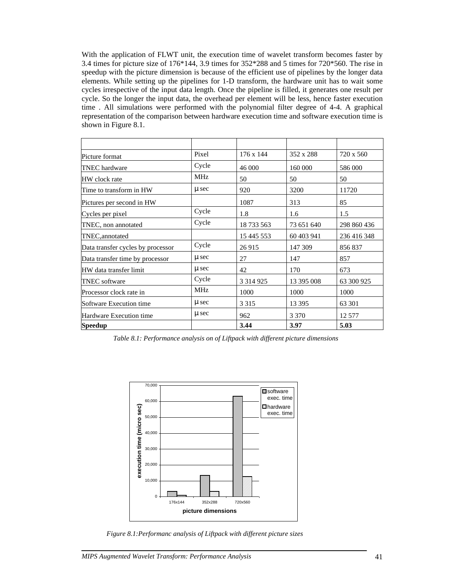With the application of FLWT unit, the execution time of wavelet transform becomes faster by 3.4 times for picture size of 176\*144, 3.9 times for 352\*288 and 5 times for 720\*560. The rise in speedup with the picture dimension is because of the efficient use of pipelines by the longer data elements. While setting up the pipelines for 1-D transform, the hardware unit has to wait some cycles irrespective of the input data length. Once the pipeline is filled, it generates one result per cycle. So the longer the input data, the overhead per element will be less, hence faster execution time . All simulations were performed with the polynomial filter degree of 4-4. A graphical representation of the comparison between hardware execution time and software execution time is shown in Figure 8.1.

| Picture format                    | Pixel      | 176 x 144     | 352 x 288  | 720 x 560   |
|-----------------------------------|------------|---------------|------------|-------------|
| <b>TNEC</b> hardware              | Cycle      | 46 000        | 160 000    | 586 000     |
| HW clock rate                     | <b>MHz</b> | 50            | 50         | 50          |
| Time to transform in HW           | $\mu$ sec  | 920           | 3200       | 11720       |
| Pictures per second in HW         |            | 1087          | 313        | 85          |
| Cycles per pixel                  | Cycle      | 1.8           | 1.6        | 1.5         |
| TNEC, non annotated               | Cycle      | 18 733 563    | 73 651 640 | 298 860 436 |
| TNEC, annotated                   |            | 15 445 553    | 60 403 941 | 236 416 348 |
| Data transfer cycles by processor | Cycle      | 26 915        | 147 309    | 856837      |
| Data transfer time by processor   | $\mu$ sec  | 27            | 147        | 857         |
| HW data transfer limit            | $\mu$ sec  | 42            | 170        | 673         |
| <b>TNEC</b> software              | Cycle      | 3 3 1 4 9 2 5 | 13 395 008 | 63 300 925  |
| Processor clock rate in           | <b>MHz</b> | 1000          | 1000       | 1000        |
| Software Execution time           | $\mu$ sec  | 3 3 1 5       | 13 3 95    | 63 301      |
| Hardware Execution time           | $\mu$ sec  | 962           | 3 3 7 0    | 12 577      |
| Speedup                           |            | 3.44          | 3.97       | 5.03        |

*Table 8.1: Performance analysis on of Liftpack with different picture dimensions*



*Figure 8.1:Performanc analysis of Liftpack with different picture sizes*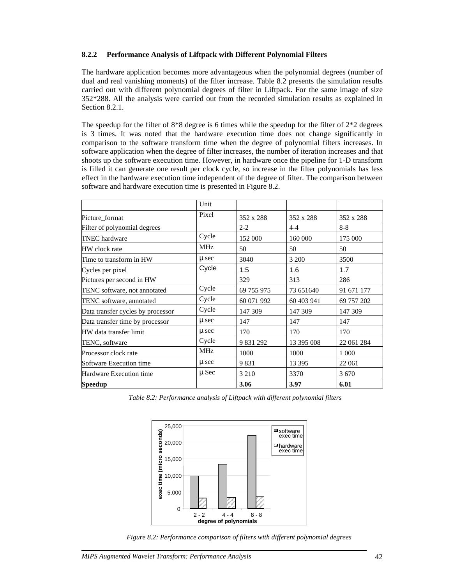#### **8.2.2 Performance Analysis of Liftpack with Different Polynomial Filters**

The hardware application becomes more advantageous when the polynomial degrees (number of dual and real vanishing moments) of the filter increase. Table 8.2 presents the simulation results carried out with different polynomial degrees of filter in Liftpack. For the same image of size 352\*288. All the analysis were carried out from the recorded simulation results as explained in Section 8.2.1.

The speedup for the filter of  $8*8$  degree is 6 times while the speedup for the filter of  $2*2$  degrees is 3 times. It was noted that the hardware execution time does not change significantly in comparison to the software transform time when the degree of polynomial filters increases. In software application when the degree of filter increases, the number of iteration increases and that shoots up the software execution time. However, in hardware once the pipeline for 1-D transform is filled it can generate one result per clock cycle, so increase in the filter polynomials has less effect in the hardware execution time independent of the degree of filter. The comparison between software and hardware execution time is presented in Figure 8.2.

|                                   | Unit       |            |            |            |
|-----------------------------------|------------|------------|------------|------------|
| Picture_format                    | Pixel      | 352 x 288  | 352 x 288  | 352 x 288  |
| Filter of polynomial degrees      |            | $2 - 2$    | $4 - 4$    | $8 - 8$    |
| <b>TNEC</b> hardware              | Cycle      | 152 000    | 160 000    | 175 000    |
| HW clock rate                     | MHz        | 50         | 50         | 50         |
| Time to transform in HW           | $\mu$ sec  | 3040       | 3 200      | 3500       |
| Cycles per pixel                  | Cycle      | 1.5        | 1.6        | 1.7        |
| Pictures per second in HW         |            | 329        | 313        | 286        |
| TENC software, not annotated      | Cycle      | 69 755 975 | 73 651 640 | 91 671 177 |
| TENC software, annotated          | Cycle      | 60 071 992 | 60 403 941 | 69 757 202 |
| Data transfer cycles by processor | Cycle      | 147 309    | 147 309    | 147 309    |
| Data transfer time by processor   | $\mu$ sec  | 147        | 147        | 147        |
| HW data transfer limit            | $\mu$ sec  | 170        | 170        | 170        |
| TENC, software                    | Cycle      | 9 831 292  | 13 395 008 | 22 061 284 |
| Processor clock rate              | <b>MHz</b> | 1000       | 1000       | 1 0 0 0    |
| Software Execution time           | $\mu$ sec  | 9831       | 13 3 95    | 22 061     |
| Hardware Execution time           | $\mu$ Sec  | 3 2 1 0    | 3370       | 3 6 7 0    |
| <b>Speedup</b>                    |            | 3.06       | 3.97       | 6.01       |

*Table 8.2: Performance analysis of Liftpack with different polynomial filters* 



*Figure 8.2: Performance comparison of filters with different polynomial degrees*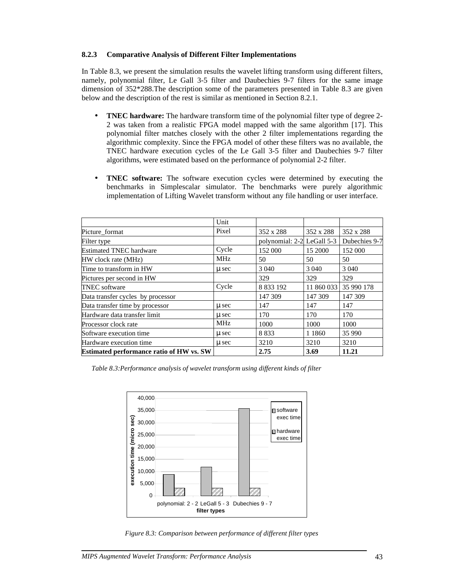#### **8.2.3 Comparative Analysis of Different Filter Implementations**

In Table 8.3, we present the simulation results the wavelet lifting transform using different filters, namely, polynomial filter, Le Gall 3-5 filter and Daubechies 9-7 filters for the same image dimension of 352\*288.The description some of the parameters presented in Table 8.3 are given below and the description of the rest is similar as mentioned in Section 8.2.1.

- **TNEC hardware:** The hardware transform time of the polynomial filter type of degree 2- 2 was taken from a realistic FPGA model mapped with the same algorithm [17]. This polynomial filter matches closely with the other 2 filter implementations regarding the algorithmic complexity. Since the FPGA model of other these filters was no available, the TNEC hardware execution cycles of the Le Gall 3-5 filter and Daubechies 9-7 filter algorithms, were estimated based on the performance of polynomial 2-2 filter.
- **TNEC software:** The software execution cycles were determined by executing the benchmarks in Simplescalar simulator. The benchmarks were purely algorithmic implementation of Lifting Wavelet transform without any file handling or user interface.

|                                                 | Unit       |                            |           |                       |
|-------------------------------------------------|------------|----------------------------|-----------|-----------------------|
| Picture format                                  | Pixel      | 352 x 288                  | 352 x 288 | 352 x 288             |
| Filter type                                     |            | polynomial: 2-2 LeGall 5-3 |           | Dubechies 9-7         |
| <b>Estimated TNEC hardware</b>                  | Cycle      | 152 000                    | 15 2000   | 152 000               |
| HW clock rate (MHz)                             | <b>MHz</b> | 50                         | 50        | 50                    |
| Time to transform in HW                         | u sec      | 3 0 4 0                    | 3 0 4 0   | 3 0 4 0               |
| Pictures per second in HW                       |            | 329                        | 329       | 329                   |
| <b>TNEC</b> software                            | Cycle      | 8 8 3 1 9 2                |           | 11 860 033 35 990 178 |
| Data transfer cycles by processor               |            | 147 309                    | 147 309   | 147 309               |
| Data transfer time by processor                 | u sec      | 147                        | 147       | 147                   |
| Hardware data transfer limit                    | u sec      | 170                        | 170       | 170                   |
| Processor clock rate                            | <b>MHz</b> | 1000                       | 1000      | 1000                  |
| Software execution time                         | u sec      | 8833                       | 1 1 8 6 0 | 35 990                |
| Hardware execution time                         | u sec      | 3210                       | 3210      | 3210                  |
| <b>Estimated performance ratio of HW vs. SW</b> |            | 2.75                       | 3.69      | 11.21                 |

*Table 8.3:Performance analysis of wavelet transform using different kinds of filter* 



*Figure 8.3: Comparison between performance of different filter types*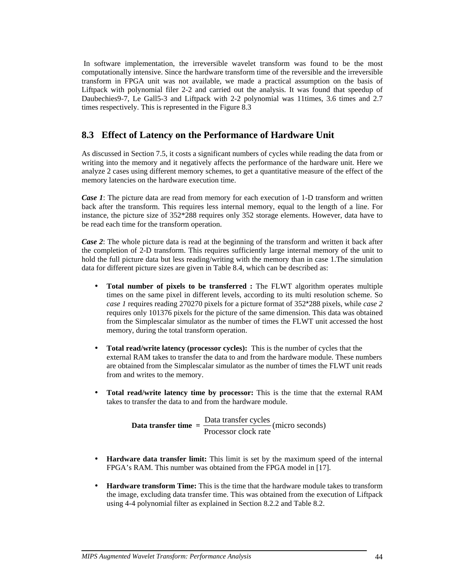In software implementation, the irreversible wavelet transform was found to be the most computationally intensive. Since the hardware transform time of the reversible and the irreversible transform in FPGA unit was not available, we made a practical assumption on the basis of Liftpack with polynomial filer 2-2 and carried out the analysis. It was found that speedup of Daubechies9-7, Le Gall5-3 and Liftpack with 2-2 polynomial was 11times, 3.6 times and 2.7 times respectively. This is represented in the Figure 8.3

## **8.3 Effect of Latency on the Performance of Hardware Unit**

As discussed in Section 7.5, it costs a significant numbers of cycles while reading the data from or writing into the memory and it negatively affects the performance of the hardware unit. Here we analyze 2 cases using different memory schemes, to get a quantitative measure of the effect of the memory latencies on the hardware execution time.

*Case 1*: The picture data are read from memory for each execution of 1-D transform and written back after the transform. This requires less internal memory, equal to the length of a line. For instance, the picture size of 352\*288 requires only 352 storage elements. However, data have to be read each time for the transform operation.

*Case 2*: The whole picture data is read at the beginning of the transform and written it back after the completion of 2-D transform. This requires sufficiently large internal memory of the unit to hold the full picture data but less reading/writing with the memory than in case 1.The simulation data for different picture sizes are given in Table 8.4, which can be described as:

- **Total number of pixels to be transferred :** The FLWT algorithm operates multiple times on the same pixel in different levels, according to its multi resolution scheme. So *case 1* requires reading 270270 pixels for a picture format of 352\*288 pixels, while *case 2*  requires only 101376 pixels for the picture of the same dimension. This data was obtained from the Simplescalar simulator as the number of times the FLWT unit accessed the host memory, during the total transform operation.
- **Total read/write latency (processor cycles):** This is the number of cycles that the external RAM takes to transfer the data to and from the hardware module. These numbers are obtained from the Simplescalar simulator as the number of times the FLWT unit reads from and writes to the memory.
- **Total read/write latency time by processor:** This is the time that the external RAM takes to transfer the data to and from the hardware module.

**Data transfer time**  $=$  $\frac{\text{Data transfer cycles}}{\text{Processor clock rate}}$  **(micro seconds)** 

- **Hardware data transfer limit:** This limit is set by the maximum speed of the internal FPGA's RAM. This number was obtained from the FPGA model in [17].
- **Hardware transform Time:** This is the time that the hardware module takes to transform the image, excluding data transfer time. This was obtained from the execution of Liftpack using 4-4 polynomial filter as explained in Section 8.2.2 and Table 8.2.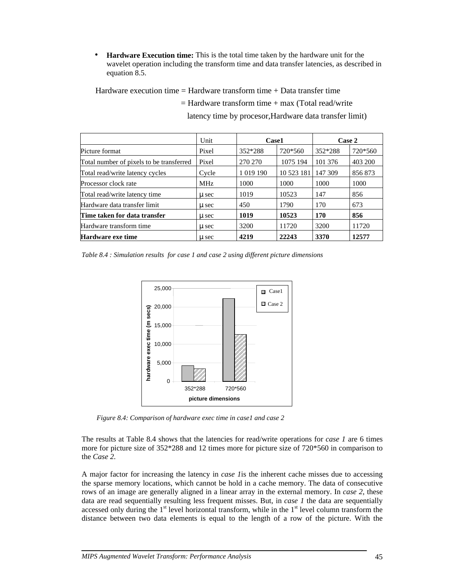• **Hardware Execution time:** This is the total time taken by the hardware unit for the wavelet operation including the transform time and data transfer latencies, as described in equation 8.5.

Hardware execution time  $=$  Hardware transform time  $+$  Data transfer time

|                                          | Unit       | Case1         |            | Case 2  |         |
|------------------------------------------|------------|---------------|------------|---------|---------|
| Picture format                           | Pixel      | 352*288       | 720*560    | 352*288 | 720*560 |
| Total number of pixels to be transferred | Pixel      | 270 270       | 1075 194   | 101 376 | 403 200 |
| Total read/write latency cycles          | Cycle      | 1 0 1 9 1 9 0 | 10 523 181 | 147 309 | 856 873 |
| Processor clock rate                     | <b>MHz</b> | 1000          | 1000       | 1000    | 1000    |
| Total read/write latency time            | u sec      | 1019          | 10523      | 147     | 856     |
| Hardware data transfer limit             | u sec      | 450           | 1790       | 170     | 673     |
| Time taken for data transfer             | u sec      | 1019          | 10523      | 170     | 856     |
| Hardware transform time                  | u sec      | 3200          | 11720      | 3200    | 11720   |
| <b>Hardware exe time</b>                 | u sec      | 4219          | 22243      | 3370    | 12577   |

latency time by procesor,Hardware data transfer limit)

 $=$  Hardware transform time  $+$  max (Total read/write

*Table 8.4 : Simulation results for case 1 and case 2 using different picture dimensions* 



*Figure 8.4: Comparison of hardware exec time in case1 and case 2*

The results at Table 8.4 shows that the latencies for read/write operations for *case 1* are 6 times more for picture size of 352\*288 and 12 times more for picture size of 720\*560 in comparison to the *Case 2.*

A major factor for increasing the latency in *case 1*is the inherent cache misses due to accessing the sparse memory locations, which cannot be hold in a cache memory. The data of consecutive rows of an image are generally aligned in a linear array in the external memory. In *case 2*, these data are read sequentially resulting less frequent misses. But, in *case 1* the data are sequentially accessed only during the  $1<sup>st</sup>$  level horizontal transform, while in the  $1<sup>st</sup>$  level column transform the distance between two data elements is equal to the length of a row of the picture. With the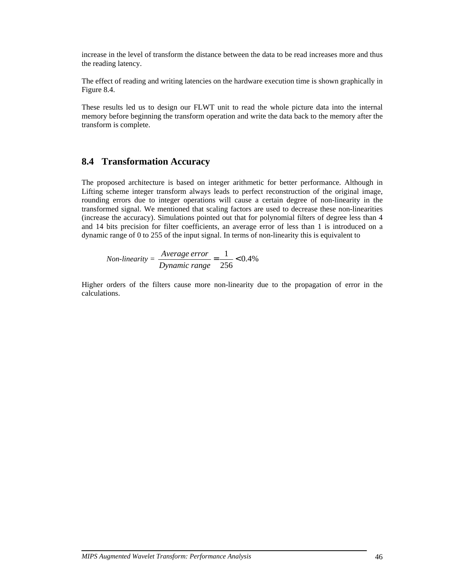increase in the level of transform the distance between the data to be read increases more and thus the reading latency.

The effect of reading and writing latencies on the hardware execution time is shown graphically in Figure 8.4.

These results led us to design our FLWT unit to read the whole picture data into the internal memory before beginning the transform operation and write the data back to the memory after the transform is complete.

### **8.4 Transformation Accuracy**

The proposed architecture is based on integer arithmetic for better performance. Although in Lifting scheme integer transform always leads to perfect reconstruction of the original image, rounding errors due to integer operations will cause a certain degree of non-linearity in the transformed signal. We mentioned that scaling factors are used to decrease these non-linearities (increase the accuracy). Simulations pointed out that for polynomial filters of degree less than 4 and 14 bits precision for filter coefficients, an average error of less than 1 is introduced on a dynamic range of 0 to 255 of the input signal. In terms of non-linearity this is equivalent to

*Non-linearity* =  $\frac{1}{2}$   $\frac{1}{2}$   $\frac{1}{2}$   $\frac{1}{2}$   $\frac{1}{2}$   $\frac{1}{2}$   $\frac{1}{2}$   $\frac{1}{2}$   $\frac{1}{2}$   $\frac{1}{2}$   $\frac{1}{2}$   $\frac{1}{2}$   $\frac{1}{2}$   $\frac{1}{2}$   $\frac{1}{2}$   $\frac{1}{2}$   $\frac{1}{2}$   $\frac{1}{2}$   $\frac{1}{2}$   $\frac{1}{2}$   $\frac$ 256  $=\frac{1}{256}$ *Dynamic range Average error*

Higher orders of the filters cause more non-linearity due to the propagation of error in the calculations.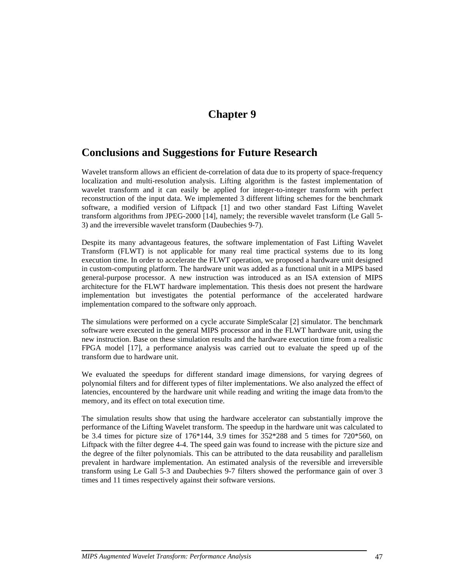## **Chapter 9**

## **Conclusions and Suggestions for Future Research**

Wavelet transform allows an efficient de-correlation of data due to its property of space-frequency localization and multi-resolution analysis. Lifting algorithm is the fastest implementation of wavelet transform and it can easily be applied for integer-to-integer transform with perfect reconstruction of the input data. We implemented 3 different lifting schemes for the benchmark software, a modified version of Liftpack [1] and two other standard Fast Lifting Wavelet transform algorithms from JPEG-2000 [14], namely; the reversible wavelet transform (Le Gall 5- 3) and the irreversible wavelet transform (Daubechies 9-7).

Despite its many advantageous features, the software implementation of Fast Lifting Wavelet Transform (FLWT) is not applicable for many real time practical systems due to its long execution time. In order to accelerate the FLWT operation, we proposed a hardware unit designed in custom-computing platform. The hardware unit was added as a functional unit in a MIPS based general-purpose processor. A new instruction was introduced as an ISA extension of MIPS architecture for the FLWT hardware implementation. This thesis does not present the hardware implementation but investigates the potential performance of the accelerated hardware implementation compared to the software only approach.

The simulations were performed on a cycle accurate SimpleScalar [2] simulator. The benchmark software were executed in the general MIPS processor and in the FLWT hardware unit, using the new instruction. Base on these simulation results and the hardware execution time from a realistic FPGA model [17], a performance analysis was carried out to evaluate the speed up of the transform due to hardware unit.

We evaluated the speedups for different standard image dimensions, for varying degrees of polynomial filters and for different types of filter implementations. We also analyzed the effect of latencies, encountered by the hardware unit while reading and writing the image data from/to the memory, and its effect on total execution time.

The simulation results show that using the hardware accelerator can substantially improve the performance of the Lifting Wavelet transform. The speedup in the hardware unit was calculated to be 3.4 times for picture size of 176\*144, 3.9 times for 352\*288 and 5 times for 720\*560, on Liftpack with the filter degree 4-4. The speed gain was found to increase with the picture size and the degree of the filter polynomials. This can be attributed to the data reusability and parallelism prevalent in hardware implementation. An estimated analysis of the reversible and irreversible transform using Le Gall 5-3 and Daubechies 9-7 filters showed the performance gain of over 3 times and 11 times respectively against their software versions.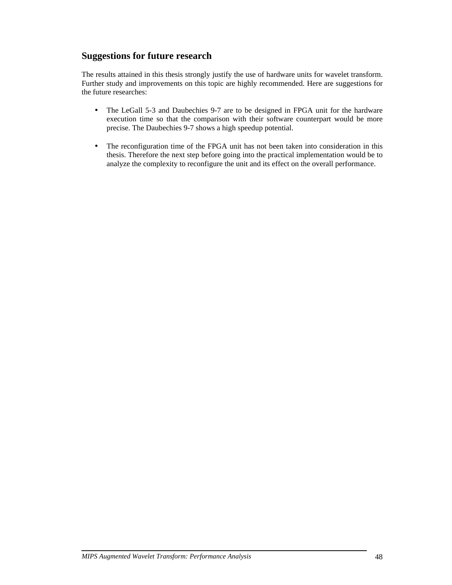## **Suggestions for future research**

The results attained in this thesis strongly justify the use of hardware units for wavelet transform. Further study and improvements on this topic are highly recommended. Here are suggestions for the future researches:

- The LeGall 5-3 and Daubechies 9-7 are to be designed in FPGA unit for the hardware execution time so that the comparison with their software counterpart would be more precise. The Daubechies 9-7 shows a high speedup potential.
- The reconfiguration time of the FPGA unit has not been taken into consideration in this thesis. Therefore the next step before going into the practical implementation would be to analyze the complexity to reconfigure the unit and its effect on the overall performance.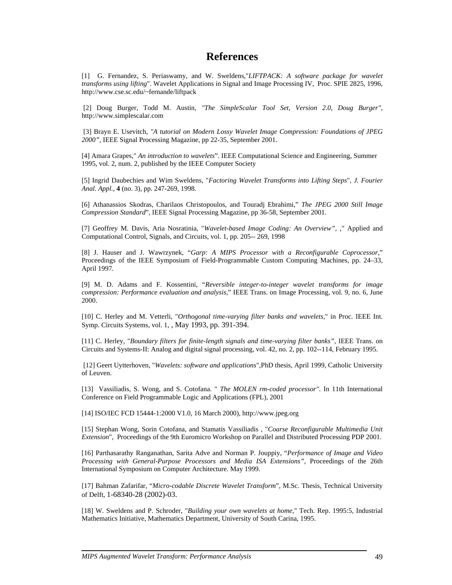## **References**

[1] G. Fernandez, S. Periaswamy, and W. Sweldens,"*LIFTPACK: A software package for wavelet transforms using lifting*". Wavelet Applications in Signal and Image Processing IV, Proc. SPIE 2825, 1996, http://www.cse.sc.edu/~fernande/liftpack

 [2] Doug Burger, Todd M. Austin, *"The SimpleScalar Tool Set, Version 2.0, Doug Burger"*, http://www.simplescalar.com

 [3] Brayn E. Usevitch, *"A tutorial on Modern Lossy Wavelet Image Compression: Foundations of JPEG 2000",* IEEE Signal Processing Magazine, pp 22-35, September 2001.

[4] Amara Grapes," *An introduction to wavelets*". IEEE Computational Science and Engineering, Summer 1995, vol. 2, num. 2, published by the IEEE Computer Society

[5] Ingrid Daubechies and Wim Sweldens, "*Factoring Wavelet Transforms into Lifting Steps*", *J. Fourier Anal. Appl.*, **4** (no. 3), pp. 247-269, 1998.

[6] Athanassios Skodras, Charilaos Christopoulos, and Touradj Ebrahimi*,*" *The JPEG 2000 Still Image Compression Standard*", IEEE Signal Processing Magazine, pp 36-58, September 2001.

[7] Geoffrey M. Davis, Aria Nosratinia, "*Wavelet-based Image Coding: An Overview",* ," Applied and Computational Control, Signals, and Circuits, vol. 1, pp. 205-- 269, 1998

[8] J. Hauser and J. Wawrzynek, "*Garp: A MIPS Processor with a Reconfigurable Coprocessor,*" Proceedings of the IEEE Symposium of Field-Programmable Custom Computing Machines, pp. 24–33, April 1997.

[9] M. D. Adams and F. Kossentini, "*Reversible integer-to-integer wavelet transforms for image compression: Performance evaluation and analysis*," IEEE Trans. on Image Processing, vol. 9, no. 6, June 2000.

[10] C. Herley and M. Vetterli, "*Orthogonal time-varying filter banks and wavelets,*" in Proc. IEEE Int. Symp. Circuits Systems, vol. 1, , May 1993, pp. 391-394.

[11] C. Herley, "*Boundary filters for finite-length signals and time-varying filter banks",* IEEE Trans. on Circuits and Systems-II: Analog and digital signal processing, vol. 42, no. 2, pp. 102--114, February 1995.

 [12] Geert Uytterhoven, "*Wavelets: software and applications*",PhD thesis, April 1999, Catholic University of Leuven.

[13] Vassiliadis, S. Wong, and S. Cotofana. " *The MOLEN rm-coded processor"*. In 11th International Conference on Field Programmable Logic and Applications (FPL), 2001

[14] ISO/IEC FCD 15444-1:2000 V1.0, 16 March 2000), http://www.jpeg.org

[15] Stephan Wong, Sorin Cotofana, and Stamatis Vassiliadis , "*Coarse Reconfigurable Multimedia Unit Extension*", Proceedings of the 9th Euromicro Workshop on Parallel and Distributed Processing PDP 2001.

[16] Parthasarathy Ranganathan, Sarita Adve and Norman P. Jouppiy, "*Performance of Image and Video Processing with General-Purpose Processors and Media ISA Extensions",* Proceedings of the 26th International Symposium on Computer Architecture. May 1999.

[17] Bahman Zafarifar, "*Micro-codable Discrete Wavelet Transform*", M.Sc. Thesis, Technical University of Delft, 1-68340-28 (2002)-03.

[18] W. Sweldens and P. Schroder, "*Building your own wavelets at home,*" Tech. Rep. 1995:5, Industrial Mathematics Initiative, Mathematics Department, University of South Carina, 1995.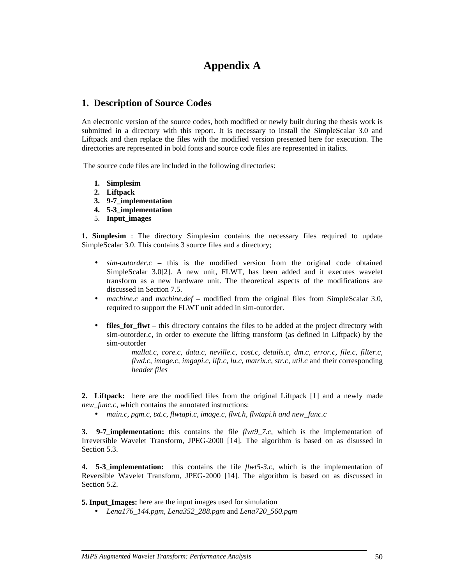## **Appendix A**

## **1. Description of Source Codes**

An electronic version of the source codes, both modified or newly built during the thesis work is submitted in a directory with this report. It is necessary to install the SimpleScalar 3.0 and Liftpack and then replace the files with the modified version presented here for execution. The directories are represented in bold fonts and source code files are represented in italics.

The source code files are included in the following directories:

- **1. Simplesim**
- **2. Liftpack**
- **3. 9-7\_implementation**
- **4. 5-3\_implementation**
- 5. **Input\_images**

**1. Simplesim** : The directory Simplesim contains the necessary files required to update SimpleScalar 3.0. This contains 3 source files and a directory;

- *sim-outorder.c* this is the modified version from the original code obtained SimpleScalar 3.0[2]. A new unit, FLWT, has been added and it executes wavelet transform as a new hardware unit. The theoretical aspects of the modifications are discussed in Section 7.5.
- *machine.c* and *machine.def* modified from the original files from SimpleScalar 3.0, required to support the FLWT unit added in sim-outorder.
- **files\_for\_flwt** this directory contains the files to be added at the project directory with sim-outorder.c, in order to execute the lifting transform (as defined in Liftpack) by the sim-outorder

*mallat.c, core.c, data.c, neville.c, cost.c, details.c, dm.c, error.c, file.c, filter.c, flwd.c, image.c, imgapi.c, lift.c, lu.c, matrix.c, str.c, util.c* and their corresponding *header files*

**2. Liftpack:** here are the modified files from the original Liftpack [1] and a newly made *new func.c*, which contains the annotated instructions:

• *main.c, pgm.c, txt.c, flwtapi.c, image.c, flwt.h, flwtapi.h and new\_func.c* 

**3. 9-7 implementation:** this contains the file *flwt9 7.c*, which is the implementation of Irreversible Wavelet Transform, JPEG-2000 [14]. The algorithm is based on as disussed in Section 5.3.

**4. 5-3\_implementation:** this contains the file *flwt5-3.c*, which is the implementation of Reversible Wavelet Transform, JPEG-2000 [14]. The algorithm is based on as discussed in Section 5.2.

**5. Input\_Images:** here are the input images used for simulation

• *Lena176\_144.pgm, Lena352\_288.pgm* and *Lena720\_560.pgm*